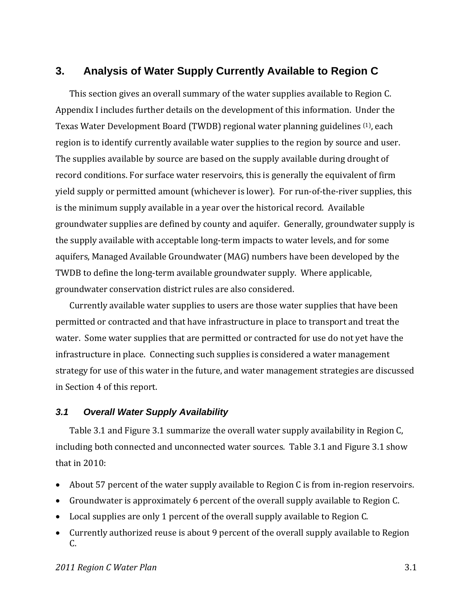# **3. Analysis of Water Supply Currently Available to Region C**

This section gives an overall summary of the water supplies available to Region C. Appendix I includes further details on the development of this information. Under the Texas Water Development Board (TWDB) regional water planning guidelines (1), each region is to identify currently available water supplies to the region by source and user. The supplies available by source are based on the supply available during drought of record conditions. For surface water reservoirs, this is generally the equivalent of firm yield supply or permitted amount (whichever is lower). For run‐of‐the‐river supplies, this is the minimum supply available in a year over the historical record. Available groundwater supplies are defined by county and aquifer. Generally, groundwater supply is the supply available with acceptable long‐term impacts to water levels, and for some aquifers, Managed Available Groundwater (MAG) numbers have been developed by the TWDB to define the long‐term available groundwater supply. Where applicable, groundwater conservation district rules are also considered.

Currently available water supplies to users are those water supplies that have been permitted or contracted and that have infrastructure in place to transport and treat the water. Some water supplies that are permitted or contracted for use do not yet have the infrastructure in place. Connecting such supplies is considered a water management strategy for use of this water in the future, and water management strategies are discussed in Section 4 of this report.

### *3.1 Overall Water Supply Availability*

Table 3.1 and Figure 3.1 summarize the overall water supply availability in Region C, including both connected and unconnected water sources. Table 3.1 and Figure 3.1 show that in 2010:

- About 57 percent of the water supply available to Region C is from in‐region reservoirs.
- Groundwater is approximately 6 percent of the overall supply available to Region C.
- Local supplies are only 1 percent of the overall supply available to Region C.
- Currently authorized reuse is about 9 percent of the overall supply available to Region C.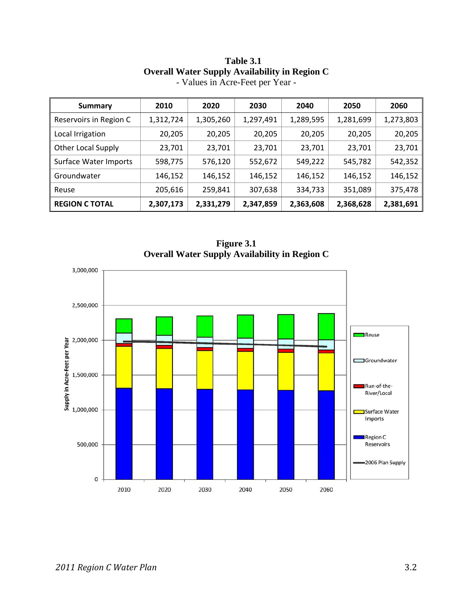| Summary                      | 2010      | 2020      | 2030      | 2040      | 2050      | 2060      |
|------------------------------|-----------|-----------|-----------|-----------|-----------|-----------|
| Reservoirs in Region C       | 1,312,724 | 1,305,260 | 1,297,491 | 1,289,595 | 1,281,699 | 1,273,803 |
| Local Irrigation             | 20,205    | 20,205    | 20,205    | 20,205    | 20,205    | 20,205    |
| <b>Other Local Supply</b>    | 23,701    | 23,701    | 23,701    | 23,701    | 23,701    | 23,701    |
| <b>Surface Water Imports</b> | 598,775   | 576,120   | 552,672   | 549,222   | 545,782   | 542,352   |
| Groundwater                  | 146,152   | 146,152   | 146,152   | 146,152   | 146,152   | 146,152   |
| Reuse                        | 205,616   | 259,841   | 307,638   | 334,733   | 351,089   | 375,478   |
| <b>REGION C TOTAL</b>        | 2,307,173 | 2,331,279 | 2,347,859 | 2,363,608 | 2,368,628 | 2,381,691 |

### **Table 3.1 Overall Water Supply Availability in Region C**  - Values in Acre-Feet per Year -

**Figure 3.1 Overall Water Supply Availability in Region C** 

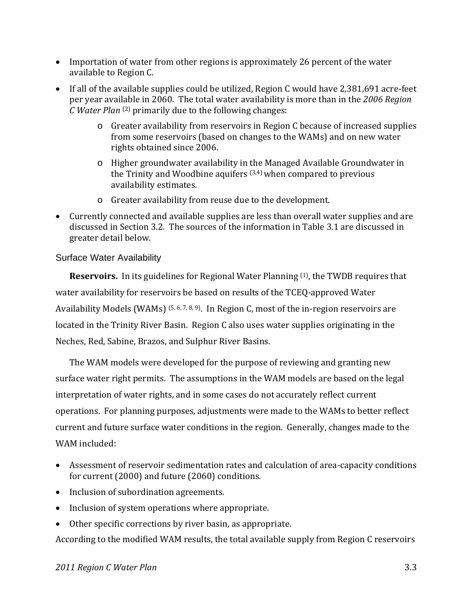- Importation of water from other regions is approximately 26 percent of the water available to Region C.
- If all of the available supplies could be utilized, Region C would have 2,381,691 acre-feet per year available in 2060. The total water availability is more than in the *2006 Region C Water Plan* (2) primarily due to the following changes:
	- o Greater availability from reservoirs in Region C because of increased supplies from some reservoirs (based on changes to the WAMs) and on new water rights obtained since 2006.
	- o Higher groundwater availability in the Managed Available Groundwater in the Trinity and Woodbine aquifers  $(3,4)$  when compared to previous availability estimates.
	- o Greater availability from reuse due to the development.
- Currently connected and available supplies are less than overall water supplies and are discussed in Section 3.2. The sources of the information in Table 3.1 are discussed in greater detail below.

## Surface Water Availability

**Reservoirs.** In its guidelines for Regional Water Planning <sup>(1)</sup>, the TWDB requires that water availability for reservoirs be based on results of the TCEQ‐approved Water Availability Models (WAMs)  $(5, 6, 7, 8, 9)$ . In Region C, most of the in-region reservoirs are located in the Trinity River Basin. Region C also uses water supplies originating in the Neches, Red, Sabine, Brazos, and Sulphur River Basins.

The WAM models were developed for the purpose of reviewing and granting new surface water right permits. The assumptions in the WAM models are based on the legal interpretation of water rights, and in some cases do not accurately reflect current operations. For planning purposes, adjustments were made to the WAMs to better reflect current and future surface water conditions in the region. Generally, changes made to the WAM included:

- Assessment of reservoir sedimentation rates and calculation of area‐capacity conditions for current (2000) and future (2060) conditions.
- Inclusion of subordination agreements.
- Inclusion of system operations where appropriate.
- Other specific corrections by river basin, as appropriate.

According to the modified WAM results, the total available supply from Region C reservoirs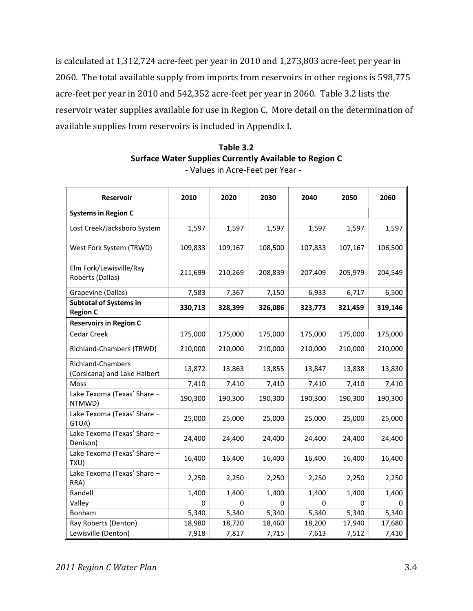is calculated at 1,312,724 acre‐feet per year in 2010 and 1,273,803 acre‐feet per year in 2060. The total available supply from imports from reservoirs in other regions is 598,775 acre‐feet per year in 2010 and 542,352 acre‐feet per year in 2060. Table 3.2 lists the reservoir water supplies available for use in Region C. More detail on the determination of available supplies from reservoirs is included in Appendix I.

| Table 3.2                                                     |
|---------------------------------------------------------------|
| <b>Surface Water Supplies Currently Available to Region C</b> |
| - Values in Acre-Feet per Year -                              |

| Reservoir                                         | 2010    | 2020    | 2030    | 2040    | 2050    | 2060    |
|---------------------------------------------------|---------|---------|---------|---------|---------|---------|
| <b>Systems in Region C</b>                        |         |         |         |         |         |         |
| Lost Creek/Jacksboro System                       | 1,597   | 1,597   | 1,597   | 1,597   | 1,597   | 1,597   |
| West Fork System (TRWD)                           | 109,833 | 109,167 | 108,500 | 107,833 | 107,167 | 106,500 |
| Elm Fork/Lewisville/Ray<br>Roberts (Dallas)       | 211,699 | 210,269 | 208,839 | 207,409 | 205,979 | 204,549 |
| Grapevine (Dallas)                                | 7,583   | 7,367   | 7,150   | 6,933   | 6,717   | 6,500   |
| <b>Subtotal of Systems in</b><br><b>Region C</b>  | 330,713 | 328,399 | 326,086 | 323,773 | 321,459 | 319,146 |
| <b>Reservoirs in Region C</b>                     |         |         |         |         |         |         |
| Cedar Creek                                       | 175,000 | 175,000 | 175,000 | 175,000 | 175,000 | 175,000 |
| Richland-Chambers (TRWD)                          | 210,000 | 210,000 | 210,000 | 210,000 | 210,000 | 210,000 |
| Richland-Chambers<br>(Corsicana) and Lake Halbert | 13,872  | 13,863  | 13,855  | 13,847  | 13,838  | 13,830  |
| Moss                                              | 7,410   | 7,410   | 7,410   | 7,410   | 7,410   | 7,410   |
| Lake Texoma (Texas' Share -<br>NTMWD)             | 190,300 | 190,300 | 190,300 | 190,300 | 190,300 | 190,300 |
| Lake Texoma (Texas' Share -<br>GTUA)              | 25,000  | 25,000  | 25,000  | 25,000  | 25,000  | 25,000  |
| Lake Texoma (Texas' Share -<br>Denison)           | 24,400  | 24,400  | 24,400  | 24,400  | 24,400  | 24,400  |
| Lake Texoma (Texas' Share -<br>TXU)               | 16,400  | 16,400  | 16,400  | 16,400  | 16,400  | 16,400  |
| Lake Texoma (Texas' Share -<br>RRA)               | 2,250   | 2,250   | 2,250   | 2,250   | 2,250   | 2,250   |
| Randell                                           | 1,400   | 1,400   | 1,400   | 1,400   | 1,400   | 1,400   |
| Valley                                            | 0       | 0       | 0       | 0       | 0       | 0       |
| Bonham                                            | 5,340   | 5,340   | 5,340   | 5,340   | 5,340   | 5,340   |
| Ray Roberts (Denton)                              | 18,980  | 18,720  | 18,460  | 18,200  | 17,940  | 17,680  |
| Lewisville (Denton)                               | 7,918   | 7,817   | 7,715   | 7,613   | 7,512   | 7,410   |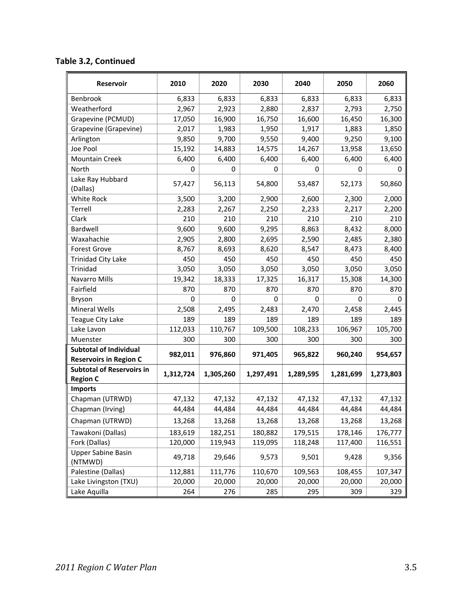| <b>Reservoir</b>                                               | 2010      | 2020      | 2030      | 2040      | 2050        | 2060      |
|----------------------------------------------------------------|-----------|-----------|-----------|-----------|-------------|-----------|
| Benbrook                                                       | 6,833     | 6,833     | 6,833     | 6,833     | 6,833       | 6,833     |
| Weatherford                                                    | 2,967     | 2,923     | 2,880     | 2,837     | 2,793       | 2,750     |
| Grapevine (PCMUD)                                              | 17,050    | 16,900    | 16,750    | 16,600    | 16,450      | 16,300    |
| Grapevine (Grapevine)                                          | 2,017     | 1,983     | 1,950     | 1,917     | 1,883       | 1,850     |
| Arlington                                                      | 9,850     | 9,700     | 9,550     | 9,400     | 9,250       | 9,100     |
| Joe Pool                                                       | 15,192    | 14,883    | 14,575    | 14,267    | 13,958      | 13,650    |
| <b>Mountain Creek</b>                                          | 6,400     | 6,400     | 6,400     | 6,400     | 6,400       | 6,400     |
| North                                                          | 0         | 0         | 0         | 0         | 0           | 0         |
| Lake Ray Hubbard<br>(Dallas)                                   | 57,427    | 56,113    | 54,800    | 53,487    | 52,173      | 50,860    |
| White Rock                                                     | 3,500     | 3,200     | 2,900     | 2,600     | 2,300       | 2,000     |
| Terrell                                                        | 2,283     | 2,267     | 2,250     | 2,233     | 2,217       | 2,200     |
| Clark                                                          | 210       | 210       | 210       | 210       | 210         | 210       |
| Bardwell                                                       | 9,600     | 9,600     | 9,295     | 8,863     | 8,432       | 8,000     |
| Waxahachie                                                     | 2,905     | 2,800     | 2,695     | 2,590     | 2,485       | 2,380     |
| <b>Forest Grove</b>                                            | 8,767     | 8,693     | 8,620     | 8,547     | 8,473       | 8,400     |
| <b>Trinidad City Lake</b>                                      | 450       | 450       | 450       | 450       | 450         | 450       |
| Trinidad                                                       | 3,050     | 3,050     | 3,050     | 3,050     | 3,050       | 3,050     |
| Navarro Mills                                                  | 19,342    | 18,333    | 17,325    | 16,317    | 15,308      | 14,300    |
| Fairfield                                                      | 870       | 870       | 870       | 870       | 870         | 870       |
| <b>Bryson</b>                                                  | 0         | 0         | 0         | 0         | $\mathbf 0$ | 0         |
| <b>Mineral Wells</b>                                           | 2,508     | 2,495     | 2,483     | 2,470     | 2,458       | 2,445     |
| Teague City Lake                                               | 189       | 189       | 189       | 189       | 189         | 189       |
| Lake Lavon                                                     | 112,033   | 110,767   | 109,500   | 108,233   | 106,967     | 105,700   |
| Muenster                                                       | 300       | 300       | 300       | 300       | 300         | 300       |
| <b>Subtotal of Individual</b><br><b>Reservoirs in Region C</b> | 982,011   | 976,860   | 971,405   | 965,822   | 960,240     | 954,657   |
| <b>Subtotal of Reservoirs in</b><br><b>Region C</b>            | 1,312,724 | 1,305,260 | 1,297,491 | 1,289,595 | 1,281,699   | 1,273,803 |
| <b>Imports</b>                                                 |           |           |           |           |             |           |
| Chapman (UTRWD)                                                | 47,132    | 47,132    | 47,132    | 47,132    | 47,132      | 47,132    |
| Chapman (Irving)                                               | 44,484    | 44,484    | 44,484    | 44,484    | 44,484      | 44,484    |
| Chapman (UTRWD)                                                | 13,268    | 13,268    | 13,268    | 13,268    | 13,268      | 13,268    |
| Tawakoni (Dallas)                                              | 183,619   | 182,251   | 180,882   | 179,515   | 178,146     | 176,777   |
| Fork (Dallas)                                                  | 120,000   | 119,943   | 119,095   | 118,248   | 117,400     | 116,551   |
| <b>Upper Sabine Basin</b><br>(NTMWD)                           | 49,718    | 29,646    | 9,573     | 9,501     | 9,428       | 9,356     |
| Palestine (Dallas)                                             | 112,881   | 111,776   | 110,670   | 109,563   | 108,455     | 107,347   |
| Lake Livingston (TXU)                                          | 20,000    | 20,000    | 20,000    | 20,000    | 20,000      | 20,000    |
| Lake Aquilla                                                   | 264       | 276       | 285       | 295       | 309         | 329       |

# **Table 3.2, Continued**

 $\mathcal{L}$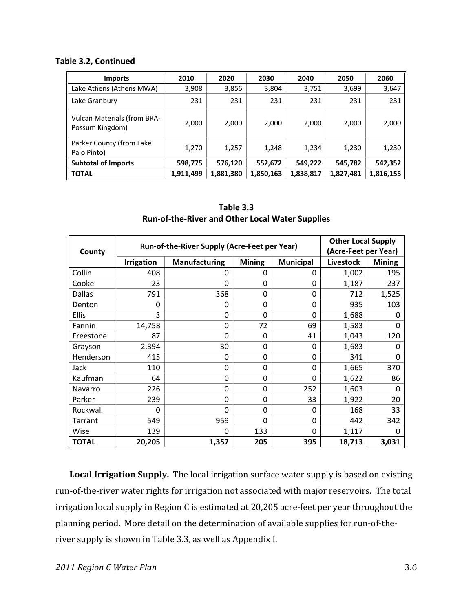#### **Table 3.2, Continued**

| <b>Imports</b>                                        | 2010      | 2020      | 2030      | 2040      | 2050      | 2060      |
|-------------------------------------------------------|-----------|-----------|-----------|-----------|-----------|-----------|
| Lake Athens (Athens MWA)                              | 3,908     | 3,856     | 3,804     | 3,751     | 3,699     | 3,647     |
| Lake Granbury                                         | 231       | 231       | 231       | 231       | 231       | 231       |
| <b>Vulcan Materials (from BRA-</b><br>Possum Kingdom) | 2,000     | 2,000     | 2,000     | 2,000     | 2,000     | 2,000     |
| Parker County (from Lake<br>Palo Pinto)               | 1,270     | 1,257     | 1,248     | 1,234     | 1,230     | 1,230     |
| <b>Subtotal of Imports</b>                            | 598,775   | 576,120   | 552,672   | 549,222   | 545,782   | 542,352   |
| <b>TOTAL</b>                                          | 1,911,499 | 1,881,380 | 1,850,163 | 1,838,817 | 1,827,481 | 1,816,155 |

**Table 3.3 Run‐of‐the‐River and Other Local Water Supplies**

| County       | Run-of-the-River Supply (Acre-Feet per Year) | <b>Other Local Supply</b><br>(Acre-Feet per Year) |               |                  |                  |               |
|--------------|----------------------------------------------|---------------------------------------------------|---------------|------------------|------------------|---------------|
|              | <b>Irrigation</b>                            | <b>Manufacturing</b>                              | <b>Mining</b> | <b>Municipal</b> | <b>Livestock</b> | <b>Mining</b> |
| Collin       | 408                                          | 0                                                 | 0             | 0                | 1,002            | 195           |
| Cooke        | 23                                           | 0                                                 | $\Omega$      | 0                | 1,187            | 237           |
| Dallas       | 791                                          | 368                                               | 0             | 0                | 712              | 1,525         |
| Denton       | 0                                            | 0                                                 | $\Omega$      | 0                | 935              | 103           |
| <b>Ellis</b> | 3                                            | 0                                                 | $\Omega$      | $\Omega$         | 1,688            | O             |
| Fannin       | 14,758                                       | 0                                                 | 72            | 69               | 1,583            | 0             |
| Freestone    | 87                                           | 0                                                 | 0             | 41               | 1,043            | 120           |
| Grayson      | 2,394                                        | 30                                                | $\Omega$      | 0                | 1,683            | 0             |
| Henderson    | 415                                          | 0                                                 | 0             | $\Omega$         | 341              | $\Omega$      |
| Jack         | 110                                          | 0                                                 | 0             | 0                | 1,665            | 370           |
| Kaufman      | 64                                           | 0                                                 | $\Omega$      | $\Omega$         | 1,622            | 86            |
| Navarro      | 226                                          | 0                                                 | $\Omega$      | 252              | 1,603            | $\Omega$      |
| Parker       | 239                                          | 0                                                 | $\Omega$      | 33               | 1,922            | 20            |
| Rockwall     | 0                                            | 0                                                 | $\Omega$      | 0                | 168              | 33            |
| Tarrant      | 549                                          | 959                                               | $\Omega$      | $\mathbf{0}$     | 442              | 342           |
| Wise         | 139                                          | 0                                                 | 133           | 0                | 1,117            | $\Omega$      |
| <b>TOTAL</b> | 20,205                                       | 1,357                                             | 205           | 395              | 18,713           | 3,031         |

**Local Irrigation Supply.** The local irrigation surface water supply is based on existing run‐of‐the‐river water rights for irrigation not associated with major reservoirs. The total irrigation local supply in Region C is estimated at 20,205 acre‐feet per year throughout the planning period. More detail on the determination of available supplies for run-of-theriver supply is shown in Table 3.3, as well as Appendix I.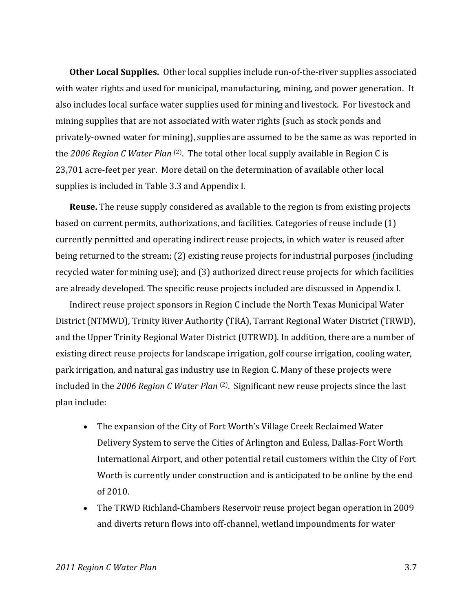**Other Local Supplies.** Other local supplies include run‐of‐the‐river supplies associated with water rights and used for municipal, manufacturing, mining, and power generation. It also includes local surface water supplies used for mining and livestock. For livestock and mining supplies that are not associated with water rights (such as stock ponds and privately‐owned water for mining), supplies are assumed to be the same as was reported in the *2006 Region C Water Plan* (2). The total other local supply available in Region C is 23,701 acre‐feet per year. More detail on the determination of available other local supplies is included in Table 3.3 and Appendix I.

**Reuse.** The reuse supply considered as available to the region is from existing projects based on current permits, authorizations, and facilities. Categories of reuse include (1) currently permitted and operating indirect reuse projects, in which water is reused after being returned to the stream; (2) existing reuse projects for industrial purposes (including recycled water for mining use); and (3) authorized direct reuse projects for which facilities are already developed. The specific reuse projects included are discussed in Appendix I.

Indirect reuse project sponsors in Region C include the North Texas Municipal Water District (NTMWD), Trinity River Authority (TRA), Tarrant Regional Water District (TRWD), and the Upper Trinity Regional Water District (UTRWD). In addition, there are a number of existing direct reuse projects for landscape irrigation, golf course irrigation, cooling water, park irrigation, and natural gas industry use in Region C. Many of these projects were included in the *2006 Region C Water Plan* (2). Significant new reuse projects since the last plan include:

- The expansion of the City of Fort Worth's Village Creek Reclaimed Water Delivery System to serve the Cities of Arlington and Euless, Dallas‐Fort Worth International Airport, and other potential retail customers within the City of Fort Worth is currently under construction and is anticipated to be online by the end of 2010.
- The TRWD Richland‐Chambers Reservoir reuse project began operation in 2009 and diverts return flows into off‐channel, wetland impoundments for water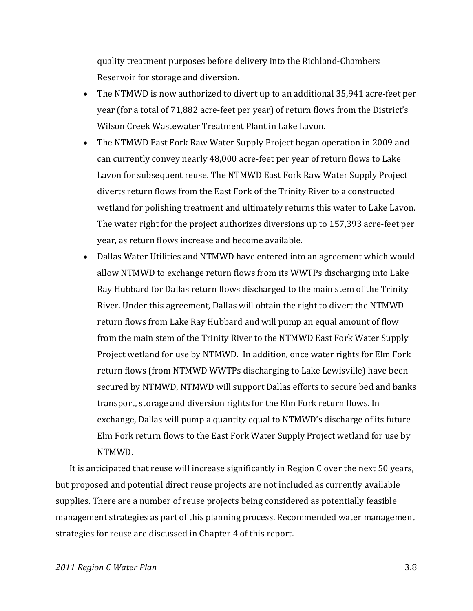quality treatment purposes before delivery into the Richland‐Chambers Reservoir for storage and diversion.

- The NTMWD is now authorized to divert up to an additional 35,941 acre‐feet per year (for a total of 71,882 acre‐feet per year) of return flows from the District's Wilson Creek Wastewater Treatment Plant in Lake Lavon.
- The NTMWD East Fork Raw Water Supply Project began operation in 2009 and can currently convey nearly 48,000 acre‐feet per year of return flows to Lake Lavon for subsequent reuse. The NTMWD East Fork Raw Water Supply Project diverts return flows from the East Fork of the Trinity River to a constructed wetland for polishing treatment and ultimately returns this water to Lake Lavon. The water right for the project authorizes diversions up to 157,393 acre‐feet per year, as return flows increase and become available.
- Dallas Water Utilities and NTMWD have entered into an agreement which would allow NTMWD to exchange return flows from its WWTPs discharging into Lake Ray Hubbard for Dallas return flows discharged to the main stem of the Trinity River. Under this agreement, Dallas will obtain the right to divert the NTMWD return flows from Lake Ray Hubbard and will pump an equal amount of flow from the main stem of the Trinity River to the NTMWD East Fork Water Supply Project wetland for use by NTMWD. In addition, once water rights for Elm Fork return flows (from NTMWD WWTPs discharging to Lake Lewisville) have been secured by NTMWD, NTMWD will support Dallas efforts to secure bed and banks transport, storage and diversion rights for the Elm Fork return flows. In exchange, Dallas will pump a quantity equal to NTMWD's discharge of its future Elm Fork return flows to the East Fork Water Supply Project wetland for use by NTMWD.

It is anticipated that reuse will increase significantly in Region C over the next 50 years, but proposed and potential direct reuse projects are not included as currently available supplies. There are a number of reuse projects being considered as potentially feasible management strategies as part of this planning process. Recommended water management strategies for reuse are discussed in Chapter 4 of this report.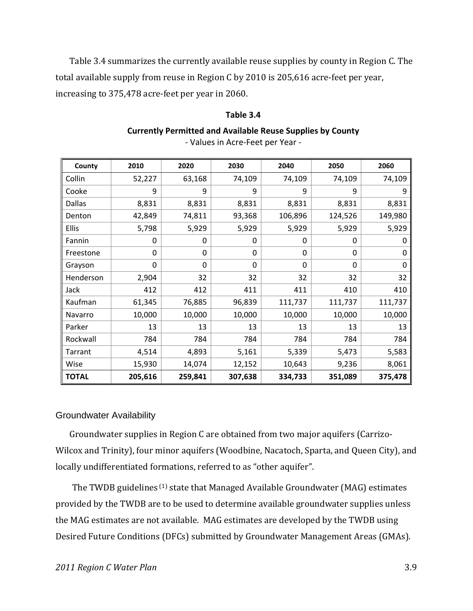Table 3.4 summarizes the currently available reuse supplies by county in Region C. The total available supply from reuse in Region C by 2010 is 205,616 acre‐feet per year, increasing to 375,478 acre‐feet per year in 2060.

#### **Table 3.4**

### **Currently Permitted and Available Reuse Supplies by County**

| County        | 2010     | 2020     | 2030    | 2040     | 2050     | 2060    |
|---------------|----------|----------|---------|----------|----------|---------|
| Collin        | 52,227   | 63,168   | 74,109  | 74,109   | 74,109   | 74,109  |
| Cooke         | 9        | 9        | 9       | 9        | 9        | 9       |
| <b>Dallas</b> | 8,831    | 8,831    | 8,831   | 8,831    | 8,831    | 8,831   |
| Denton        | 42,849   | 74,811   | 93,368  | 106,896  | 124,526  | 149,980 |
| Ellis         | 5,798    | 5,929    | 5,929   | 5,929    | 5,929    | 5,929   |
| Fannin        | $\Omega$ | 0        | 0       | 0        | $\Omega$ | 0       |
| Freestone     | 0        | $\Omega$ | 0       | $\Omega$ | 0        | 0       |
| Grayson       | $\Omega$ | $\Omega$ | 0       | $\Omega$ | 0        | 0       |
| Henderson     | 2,904    | 32       | 32      | 32       | 32       | 32      |
| Jack          | 412      | 412      | 411     | 411      | 410      | 410     |
| Kaufman       | 61,345   | 76,885   | 96,839  | 111,737  | 111,737  | 111,737 |
| Navarro       | 10,000   | 10,000   | 10,000  | 10,000   | 10,000   | 10,000  |
| Parker        | 13       | 13       | 13      | 13       | 13       | 13      |
| Rockwall      | 784      | 784      | 784     | 784      | 784      | 784     |
| Tarrant       | 4,514    | 4,893    | 5,161   | 5,339    | 5,473    | 5,583   |
| Wise          | 15,930   | 14,074   | 12,152  | 10,643   | 9,236    | 8,061   |
| <b>TOTAL</b>  | 205,616  | 259,841  | 307,638 | 334,733  | 351,089  | 375,478 |

‐ Values in Acre‐Feet per Year ‐

#### Groundwater Availability

Groundwater supplies in Region C are obtained from two major aquifers (Carrizo‐ Wilcox and Trinity), four minor aquifers (Woodbine, Nacatoch, Sparta, and Queen City), and locally undifferentiated formations, referred to as "other aquifer".

The TWDB guidelines <sup>(1)</sup> state that Managed Available Groundwater (MAG) estimates provided by the TWDB are to be used to determine available groundwater supplies unless the MAG estimates are not available. MAG estimates are developed by the TWDB using Desired Future Conditions (DFCs) submitted by Groundwater Management Areas (GMAs).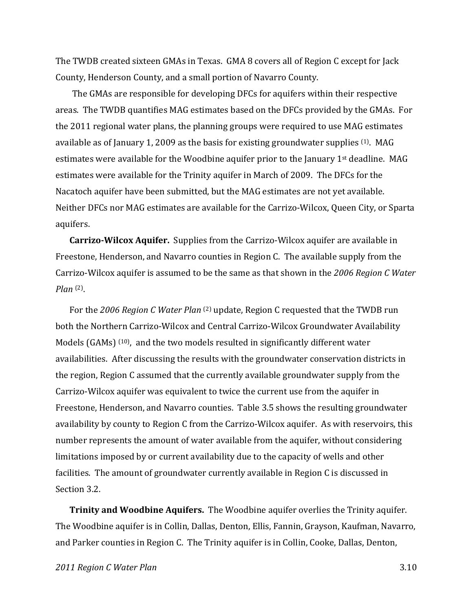The TWDB created sixteen GMAs in Texas. GMA 8 covers all of Region C except for Jack County, Henderson County, and a small portion of Navarro County.

The GMAs are responsible for developing DFCs for aquifers within their respective areas. The TWDB quantifies MAG estimates based on the DFCs provided by the GMAs. For the 2011 regional water plans, the planning groups were required to use MAG estimates available as of January 1, 2009 as the basis for existing groundwater supplies <sup>(1)</sup>. MAG estimates were available for the Woodbine aquifer prior to the January 1st deadline. MAG estimates were available for the Trinity aquifer in March of 2009. The DFCs for the Nacatoch aquifer have been submitted, but the MAG estimates are not yet available. Neither DFCs nor MAG estimates are available for the Carrizo‐Wilcox, Queen City, or Sparta aquifers.

**CarrizoWilcox Aquifer.** Supplies from the Carrizo‐Wilcox aquifer are available in Freestone, Henderson, and Navarro counties in Region C. The available supply from the Carrizo‐Wilcox aquifer is assumed to be the same as that shown in the *2006 Region C Water Plan* (2).

For the *2006 Region C Water Plan* (2) update, Region C requested that the TWDB run both the Northern Carrizo‐Wilcox and Central Carrizo‐Wilcox Groundwater Availability Models (GAMs)  $(10)$ , and the two models resulted in significantly different water availabilities. After discussing the results with the groundwater conservation districts in the region, Region C assumed that the currently available groundwater supply from the Carrizo‐Wilcox aquifer was equivalent to twice the current use from the aquifer in Freestone, Henderson, and Navarro counties. Table 3.5 shows the resulting groundwater availability by county to Region C from the Carrizo‐Wilcox aquifer. As with reservoirs, this number represents the amount of water available from the aquifer, without considering limitations imposed by or current availability due to the capacity of wells and other facilities. The amount of groundwater currently available in Region C is discussed in Section 3.2.

**Trinity and Woodbine Aquifers.** The Woodbine aquifer overlies the Trinity aquifer. The Woodbine aquifer is in Collin, Dallas, Denton, Ellis, Fannin, Grayson, Kaufman, Navarro, and Parker counties in Region C. The Trinity aquifer is in Collin, Cooke, Dallas, Denton,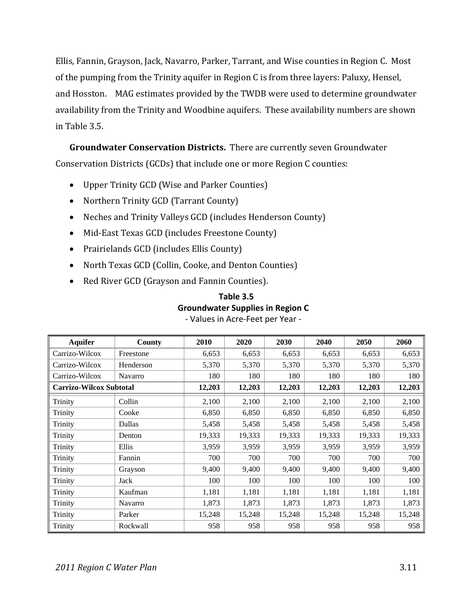Ellis, Fannin, Grayson, Jack, Navarro, Parker, Tarrant, and Wise counties in Region C. Most of the pumping from the Trinity aquifer in Region C is from three layers: Paluxy, Hensel, and Hosston. MAG estimates provided by the TWDB were used to determine groundwater availability from the Trinity and Woodbine aquifers. These availability numbers are shown in Table 3.5.

**Groundwater Conservation Districts.** There are currently seven Groundwater Conservation Districts (GCDs) that include one or more Region C counties:

- Upper Trinity GCD (Wise and Parker Counties)
- Northern Trinity GCD (Tarrant County)
- Neches and Trinity Valleys GCD (includes Henderson County)
- Mid-East Texas GCD (includes Freestone County)
- Prairielands GCD (includes Ellis County)
- North Texas GCD (Collin, Cooke, and Denton Counties)
- Red River GCD (Grayson and Fannin Counties).

### **Table 3.5 Groundwater Supplies in Region C** ‐ Values in Acre‐Feet per Year ‐

| <b>Aquifer</b>                 | County    | 2010   | 2020   | 2030   | 2040   | 2050   | 2060   |
|--------------------------------|-----------|--------|--------|--------|--------|--------|--------|
| Carrizo-Wilcox                 | Freestone | 6,653  | 6,653  | 6,653  | 6,653  | 6,653  | 6,653  |
| Carrizo-Wilcox                 | Henderson | 5,370  | 5,370  | 5,370  | 5,370  | 5,370  | 5,370  |
| Carrizo-Wilcox                 | Navarro   | 180    | 180    | 180    | 180    | 180    | 180    |
| <b>Carrizo-Wilcox Subtotal</b> |           | 12,203 | 12,203 | 12,203 | 12,203 | 12,203 | 12,203 |
| Trinity                        | Collin    | 2,100  | 2,100  | 2,100  | 2,100  | 2,100  | 2,100  |
| Trinity                        | Cooke     | 6,850  | 6,850  | 6,850  | 6,850  | 6,850  | 6,850  |
| Trinity                        | Dallas    | 5,458  | 5,458  | 5,458  | 5,458  | 5,458  | 5,458  |
| Trinity                        | Denton    | 19,333 | 19,333 | 19,333 | 19,333 | 19,333 | 19,333 |
| Trinity                        | Ellis     | 3,959  | 3,959  | 3,959  | 3,959  | 3,959  | 3,959  |
| Trinity                        | Fannin    | 700    | 700    | 700    | 700    | 700    | 700    |
| Trinity                        | Grayson   | 9,400  | 9,400  | 9,400  | 9,400  | 9,400  | 9,400  |
| Trinity                        | Jack      | 100    | 100    | 100    | 100    | 100    | 100    |
| Trinity                        | Kaufman   | 1,181  | 1,181  | 1,181  | 1,181  | 1,181  | 1,181  |
| Trinity                        | Navarro   | 1,873  | 1,873  | 1,873  | 1,873  | 1,873  | 1,873  |
| Trinity                        | Parker    | 15,248 | 15,248 | 15,248 | 15,248 | 15,248 | 15,248 |
| Trinity                        | Rockwall  | 958    | 958    | 958    | 958    | 958    | 958    |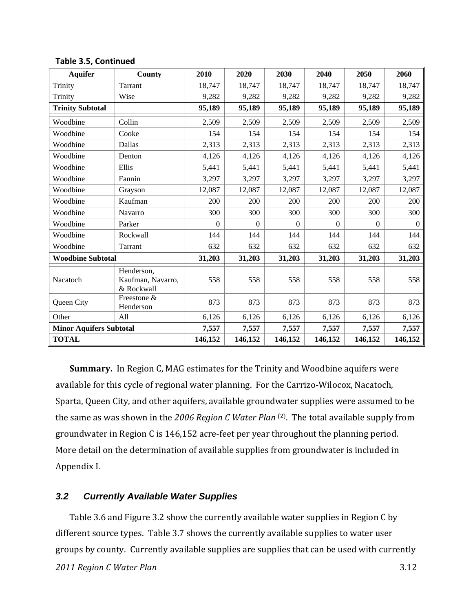| <b>Aquifer</b>                 | County                                        | 2010           | 2020           | 2030             | 2040           | 2050           | 2060         |
|--------------------------------|-----------------------------------------------|----------------|----------------|------------------|----------------|----------------|--------------|
| Trinity                        | Tarrant                                       | 18,747         | 18,747         | 18,747           | 18,747         | 18,747         | 18,747       |
| Trinity                        | Wise                                          | 9,282          | 9,282          | 9,282            | 9,282          | 9,282          | 9,282        |
| <b>Trinity Subtotal</b>        |                                               | 95,189         | 95,189         | 95,189           | 95,189         | 95,189         | 95,189       |
| Woodbine                       | Collin                                        | 2,509          | 2,509          | 2,509            | 2,509          | 2,509          | 2,509        |
| Woodbine                       | Cooke                                         | 154            | 154            | 154              | 154            | 154            | 154          |
| Woodbine                       | Dallas                                        | 2,313          | 2,313          | 2,313            | 2,313          | 2,313          | 2,313        |
| Woodbine                       | Denton                                        | 4,126          | 4,126          | 4,126            | 4,126          | 4,126          | 4,126        |
| Woodbine                       | Ellis                                         | 5,441          | 5,441          | 5,441            | 5,441          | 5,441          | 5,441        |
| Woodbine                       | Fannin                                        | 3,297          | 3,297          | 3,297            | 3,297          | 3,297          | 3,297        |
| Woodbine                       | Grayson                                       | 12,087         | 12,087         | 12,087           | 12,087         | 12,087         | 12,087       |
| Woodbine                       | Kaufman                                       | 200            | 200            | 200              | 200            | 200            | 200          |
| Woodbine                       | Navarro                                       | 300            | 300            | 300              | 300            | 300            | 300          |
| Woodbine                       | Parker                                        | $\overline{0}$ | $\overline{0}$ | $\boldsymbol{0}$ | $\overline{0}$ | $\overline{0}$ | $\mathbf{0}$ |
| Woodbine                       | Rockwall                                      | 144            | 144            | 144              | 144            | 144            | 144          |
| Woodbine                       | Tarrant                                       | 632            | 632            | 632              | 632            | 632            | 632          |
| <b>Woodbine Subtotal</b>       |                                               | 31,203         | 31,203         | 31,203           | 31,203         | 31,203         | 31,203       |
| Nacatoch                       | Henderson,<br>Kaufman, Navarro,<br>& Rockwall | 558            | 558            | 558              | 558            | 558            | 558          |
| Queen City                     | Freestone &<br>Henderson                      | 873            | 873            | 873              | 873            | 873            | 873          |
| Other                          | All                                           | 6,126          | 6,126          | 6,126            | 6,126          | 6,126          | 6,126        |
| <b>Minor Aquifers Subtotal</b> |                                               | 7,557          | 7,557          | 7,557            | 7,557          | 7,557          | 7,557        |
| <b>TOTAL</b>                   |                                               | 146,152        | 146,152        | 146,152          | 146,152        | 146,152        | 146,152      |

**Table 3.5, Continued**

**Summary.** In Region C, MAG estimates for the Trinity and Woodbine aquifers were available for this cycle of regional water planning. For the Carrizo‐Wilocox, Nacatoch, Sparta, Queen City, and other aquifers, available groundwater supplies were assumed to be the same as was shown in the *2006 Region C Water Plan* (2). The total available supply from groundwater in Region C is 146,152 acre‐feet per year throughout the planning period. More detail on the determination of available supplies from groundwater is included in Appendix I.

#### *3.2 Currently Available Water Supplies*

*2011 Region C Water Plan* 3.12 Table 3.6 and Figure 3.2 show the currently available water supplies in Region C by different source types. Table 3.7 shows the currently available supplies to water user groups by county. Currently available supplies are supplies that can be used with currently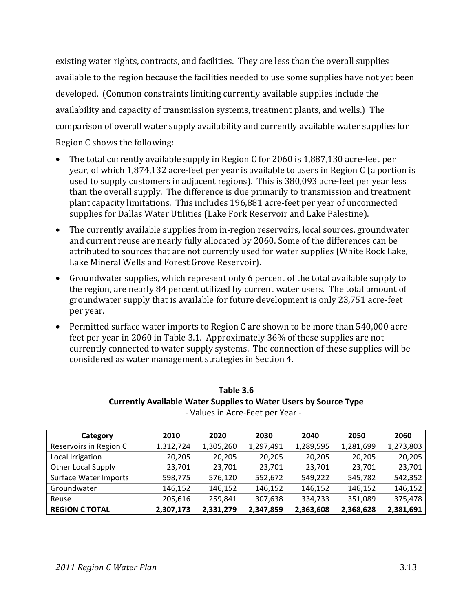existing water rights, contracts, and facilities. They are less than the overall supplies available to the region because the facilities needed to use some supplies have not yet been developed. (Common constraints limiting currently available supplies include the availability and capacity of transmission systems, treatment plants, and wells.) The comparison of overall water supply availability and currently available water supplies for Region C shows the following:

- The total currently available supply in Region C for 2060 is 1,887,130 acre-feet per year, of which 1,874,132 acre‐feet per year is available to users in Region C (a portion is used to supply customers in adjacent regions). This is 380,093 acre‐feet per year less than the overall supply. The difference is due primarily to transmission and treatment plant capacity limitations. This includes 196,881 acre‐feet per year of unconnected supplies for Dallas Water Utilities (Lake Fork Reservoir and Lake Palestine).
- The currently available supplies from in‐region reservoirs, local sources, groundwater and current reuse are nearly fully allocated by 2060. Some of the differences can be attributed to sources that are not currently used for water supplies (White Rock Lake, Lake Mineral Wells and Forest Grove Reservoir).
- Groundwater supplies, which represent only 6 percent of the total available supply to the region, are nearly 84 percent utilized by current water users. The total amount of groundwater supply that is available for future development is only 23,751 acre‐feet per year.
- Permitted surface water imports to Region C are shown to be more than 540,000 acrefeet per year in 2060 in Table 3.1. Approximately 36% of these supplies are not currently connected to water supply systems. The connection of these supplies will be considered as water management strategies in Section 4.

| Category                     | 2010      | 2020      | 2030      | 2040      | 2050      | 2060      |
|------------------------------|-----------|-----------|-----------|-----------|-----------|-----------|
| Reservoirs in Region C       | 1,312,724 | 1,305,260 | 1,297,491 | 1,289,595 | 1,281,699 | 1,273,803 |
| Local Irrigation             | 20,205    | 20,205    | 20,205    | 20,205    | 20,205    | 20,205    |
| Other Local Supply           | 23,701    | 23.701    | 23,701    | 23,701    | 23,701    | 23,701    |
| <b>Surface Water Imports</b> | 598,775   | 576,120   | 552,672   | 549,222   | 545,782   | 542,352   |
| Groundwater                  | 146,152   | 146,152   | 146,152   | 146,152   | 146,152   | 146,152   |
| Reuse                        | 205,616   | 259,841   | 307,638   | 334,733   | 351,089   | 375,478   |
| <b>REGION C TOTAL</b>        | 2,307,173 | 2,331,279 | 2,347,859 | 2,363,608 | 2,368,628 | 2,381,691 |

**Table 3.6 Currently Available Water Supplies to Water Users by Source Type** ‐ Values in Acre‐Feet per Year ‐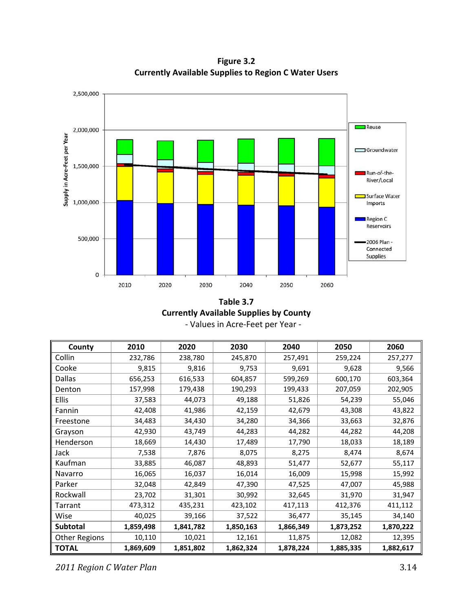**Figure 3.2 Currently Available Supplies to Region C Water Users**



**Table 3.7 Currently Available Supplies by County** ‐ Values in Acre‐Feet per Year ‐

| County               | 2010      | 2020      | 2030      | 2040      | 2050      | 2060      |
|----------------------|-----------|-----------|-----------|-----------|-----------|-----------|
| Collin               | 232,786   | 238,780   | 245,870   | 257,491   | 259,224   | 257,277   |
| Cooke                | 9,815     | 9,816     | 9,753     | 9,691     | 9,628     | 9,566     |
| <b>Dallas</b>        | 656,253   | 616,533   | 604,857   | 599,269   | 600,170   | 603,364   |
| Denton               | 157,998   | 179,438   | 190,293   | 199,433   | 207,059   | 202,905   |
| <b>Ellis</b>         | 37,583    | 44,073    | 49,188    | 51,826    | 54,239    | 55,046    |
| Fannin               | 42,408    | 41,986    | 42,159    | 42,679    | 43,308    | 43,822    |
| Freestone            | 34,483    | 34,430    | 34,280    | 34,366    | 33,663    | 32,876    |
| Grayson              | 42,930    | 43,749    | 44,283    | 44,282    | 44,282    | 44,208    |
| Henderson            | 18,669    | 14,430    | 17,489    | 17,790    | 18,033    | 18,189    |
| Jack                 | 7,538     | 7,876     | 8,075     | 8,275     | 8,474     | 8,674     |
| Kaufman              | 33,885    | 46,087    | 48,893    | 51,477    | 52,677    | 55,117    |
| Navarro              | 16,065    | 16,037    | 16,014    | 16,009    | 15,998    | 15,992    |
| Parker               | 32,048    | 42,849    | 47,390    | 47,525    | 47,007    | 45,988    |
| Rockwall             | 23,702    | 31,301    | 30,992    | 32,645    | 31,970    | 31,947    |
| Tarrant              | 473,312   | 435,231   | 423,102   | 417,113   | 412,376   | 411,112   |
| Wise                 | 40,025    | 39,166    | 37,522    | 36,477    | 35,145    | 34,140    |
| <b>Subtotal</b>      | 1,859,498 | 1,841,782 | 1,850,163 | 1,866,349 | 1,873,252 | 1,870,222 |
| <b>Other Regions</b> | 10,110    | 10,021    | 12,161    | 11,875    | 12,082    | 12,395    |
| <b>TOTAL</b>         | 1,869,609 | 1,851,802 | 1,862,324 | 1,878,224 | 1,885,335 | 1,882,617 |

*2011 Region C Water Plan* 3.14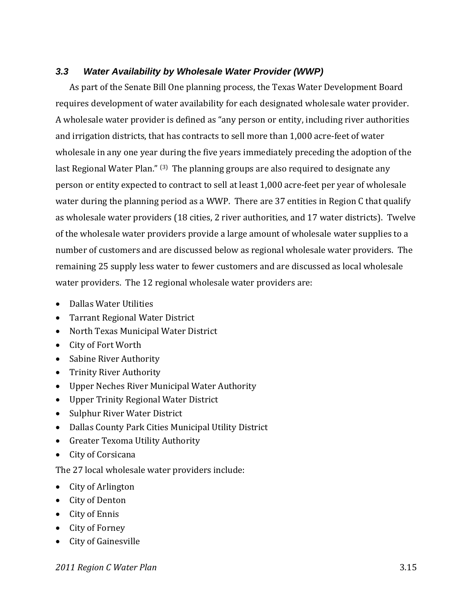# *3.3 Water Availability by Wholesale Water Provider (WWP)*

As part of the Senate Bill One planning process, the Texas Water Development Board requires development of water availability for each designated wholesale water provider. A wholesale water provider is defined as "any person or entity, including river authorities and irrigation districts, that has contracts to sell more than 1,000 acre‐feet of water wholesale in any one year during the five years immediately preceding the adoption of the last Regional Water Plan." (3) The planning groups are also required to designate any person or entity expected to contract to sell at least 1,000 acre‐feet per year of wholesale water during the planning period as a WWP. There are 37 entities in Region C that qualify as wholesale water providers (18 cities, 2 river authorities, and 17 water districts). Twelve of the wholesale water providers provide a large amount of wholesale water supplies to a number of customers and are discussed below as regional wholesale water providers. The remaining 25 supply less water to fewer customers and are discussed as local wholesale water providers. The 12 regional wholesale water providers are:

- Dallas Water Utilities
- Tarrant Regional Water District
- North Texas Municipal Water District
- City of Fort Worth
- Sabine River Authority
- Trinity River Authority
- Upper Neches River Municipal Water Authority
- Upper Trinity Regional Water District
- Sulphur River Water District
- Dallas County Park Cities Municipal Utility District
- Greater Texoma Utility Authority
- City of Corsicana

The 27 local wholesale water providers include:

- City of Arlington
- City of Denton
- City of Ennis
- City of Forney
- City of Gainesville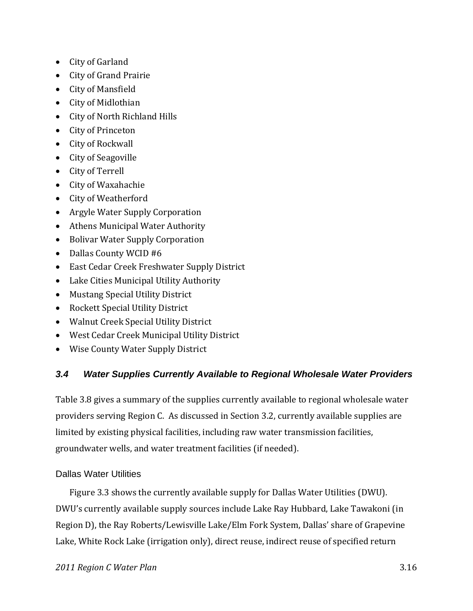- City of Garland
- City of Grand Prairie
- City of Mansfield
- City of Midlothian
- City of North Richland Hills
- City of Princeton
- City of Rockwall
- City of Seagoville
- City of Terrell
- City of Waxahachie
- City of Weatherford
- Argyle Water Supply Corporation
- Athens Municipal Water Authority
- Bolivar Water Supply Corporation
- Dallas County WCID #6
- East Cedar Creek Freshwater Supply District
- Lake Cities Municipal Utility Authority
- Mustang Special Utility District
- Rockett Special Utility District
- Walnut Creek Special Utility District
- West Cedar Creek Municipal Utility District
- Wise County Water Supply District

# *3.4 Water Supplies Currently Available to Regional Wholesale Water Providers*

Table 3.8 gives a summary of the supplies currently available to regional wholesale water providers serving Region C. As discussed in Section 3.2, currently available supplies are limited by existing physical facilities, including raw water transmission facilities, groundwater wells, and water treatment facilities (if needed).

## Dallas Water Utilities

Figure 3.3 shows the currently available supply for Dallas Water Utilities (DWU). DWU's currently available supply sources include Lake Ray Hubbard, Lake Tawakoni (in Region D), the Ray Roberts/Lewisville Lake/Elm Fork System, Dallas' share of Grapevine Lake, White Rock Lake (irrigation only), direct reuse, indirect reuse of specified return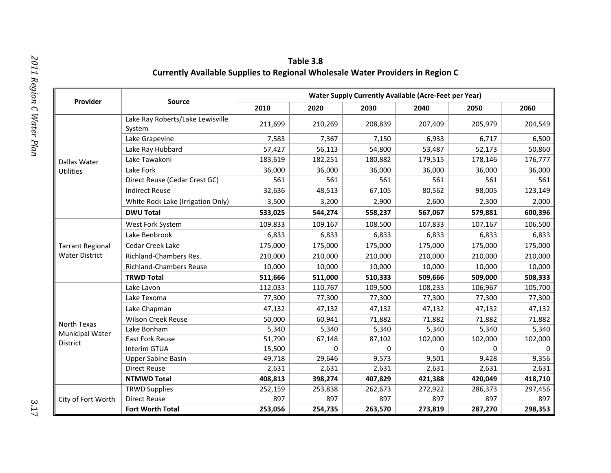| Table 3.8                                                                             |
|---------------------------------------------------------------------------------------|
| <b>Currently Available Supplies to Regional Wholesale Water Providers in Region C</b> |

| Provider                              | Source                                     | <b>Water Supply Currently Available (Acre-Feet per Year)</b> |          |          |          |                                                                                                                                     |          |  |  |  |
|---------------------------------------|--------------------------------------------|--------------------------------------------------------------|----------|----------|----------|-------------------------------------------------------------------------------------------------------------------------------------|----------|--|--|--|
|                                       |                                            | 2010                                                         | 2020     | 2030     | 2040     | 2050                                                                                                                                | 2060     |  |  |  |
|                                       | Lake Ray Roberts/Lake Lewisville<br>System | 211,699                                                      | 210,269  | 208,839  | 207,409  | 205,979                                                                                                                             | 204,549  |  |  |  |
|                                       | Lake Grapevine                             | 7,583                                                        | 7,367    | 7,150    | 6,933    | 6,717                                                                                                                               | 6,500    |  |  |  |
|                                       | Lake Ray Hubbard                           | 57,427                                                       | 56,113   | 54,800   | 53,487   | 52,173                                                                                                                              | 50,860   |  |  |  |
| Dallas Water                          | Lake Tawakoni                              | 183,619                                                      | 182,251  | 180,882  | 179,515  | 178,146                                                                                                                             | 176,777  |  |  |  |
| <b>Utilities</b>                      | Lake Fork                                  | 36,000                                                       | 36,000   | 36,000   | 36,000   | 36,000                                                                                                                              | 36,000   |  |  |  |
|                                       | Direct Reuse (Cedar Crest GC)              | 561                                                          | 561      | 561      | 561      | 561                                                                                                                                 | 561      |  |  |  |
|                                       | <b>Indirect Reuse</b>                      | 32,636                                                       | 48,513   | 67,105   | 80,562   | 98,005                                                                                                                              | 123,149  |  |  |  |
|                                       | White Rock Lake (Irrigation Only)          | 3,500                                                        | 3,200    | 2,900    | 2,600    | 2,300                                                                                                                               | 2,000    |  |  |  |
|                                       | <b>DWU Total</b>                           | 533,025                                                      | 544,274  | 558,237  | 567,067  | 579,881                                                                                                                             | 600,396  |  |  |  |
|                                       | West Fork System                           | 109,833                                                      | 109,167  | 108,500  | 107,833  | 107,167                                                                                                                             | 106,500  |  |  |  |
|                                       | Lake Benbrook                              | 6,833                                                        | 6,833    | 6,833    | 6,833    | 6,833                                                                                                                               | 6,833    |  |  |  |
| <b>Tarrant Regional</b>               | Cedar Creek Lake                           | 175,000                                                      | 175,000  | 175,000  | 175,000  | 175,000                                                                                                                             | 175,000  |  |  |  |
| <b>Water District</b>                 | Richland-Chambers Res.                     | 210,000                                                      | 210,000  | 210,000  | 210,000  | 210,000                                                                                                                             | 210,000  |  |  |  |
|                                       | <b>Richland-Chambers Reuse</b>             | 10,000                                                       | 10,000   | 10,000   | 10,000   | 10,000                                                                                                                              | 10,000   |  |  |  |
|                                       | <b>TRWD Total</b>                          | 511,666                                                      | 511,000  | 510,333  | 509,666  | 509,000<br>106,967<br>77,300<br>47,132<br>71,882<br>5,340<br>102,000<br>0<br>9,428<br>2,631<br>420,049<br>286,373<br>897<br>287,270 | 508,333  |  |  |  |
|                                       | Lake Lavon                                 | 112,033                                                      | 110,767  | 109,500  | 108,233  |                                                                                                                                     | 105,700  |  |  |  |
|                                       | Lake Texoma                                | 77,300                                                       | 77,300   | 77,300   | 77,300   |                                                                                                                                     | 77,300   |  |  |  |
|                                       | Lake Chapman                               | 47,132                                                       | 47,132   | 47,132   | 47,132   |                                                                                                                                     | 47,132   |  |  |  |
|                                       | <b>Wilson Creek Reuse</b>                  | 50,000                                                       | 60,941   | 71,882   | 71,882   |                                                                                                                                     | 71,882   |  |  |  |
| North Texas<br><b>Municipal Water</b> | Lake Bonham                                | 5,340                                                        | 5,340    | 5,340    | 5,340    |                                                                                                                                     | 5,340    |  |  |  |
| <b>District</b>                       | East Fork Reuse                            | 51,790                                                       | 67,148   | 87,102   | 102,000  |                                                                                                                                     | 102,000  |  |  |  |
|                                       | Interim GTUA                               | 15,500                                                       | $\Omega$ | $\Omega$ | $\Omega$ |                                                                                                                                     | $\Omega$ |  |  |  |
|                                       | <b>Upper Sabine Basin</b>                  | 49,718                                                       | 29,646   | 9,573    | 9,501    |                                                                                                                                     | 9,356    |  |  |  |
|                                       | <b>Direct Reuse</b>                        | 2,631                                                        | 2,631    | 2,631    | 2,631    |                                                                                                                                     | 2,631    |  |  |  |
|                                       | <b>NTMWD Total</b>                         | 408,813                                                      | 398,274  | 407,829  | 421,388  |                                                                                                                                     | 418,710  |  |  |  |
|                                       | <b>TRWD Supplies</b>                       | 252,159                                                      | 253,838  | 262,673  | 272,922  |                                                                                                                                     | 297,456  |  |  |  |
| City of Fort Worth                    | <b>Direct Reuse</b>                        | 897                                                          | 897      | 897      | 897      |                                                                                                                                     | 897      |  |  |  |
|                                       | <b>Fort Worth Total</b>                    | 253,056                                                      | 254,735  | 263,570  | 273,819  |                                                                                                                                     | 298,353  |  |  |  |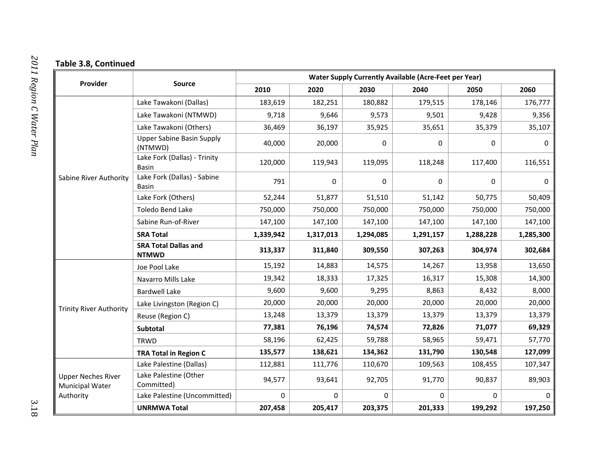### **Table 3.8, Continued**

| Provider                                                         | <b>Source</b>                                | <b>Water Supply Currently Available (Acre-Feet per Year)</b> |           |           |           |                                                                                                                |           |  |  |  |
|------------------------------------------------------------------|----------------------------------------------|--------------------------------------------------------------|-----------|-----------|-----------|----------------------------------------------------------------------------------------------------------------|-----------|--|--|--|
|                                                                  |                                              | 2010                                                         | 2020      | 2030      | 2040      | 2050                                                                                                           | 2060      |  |  |  |
|                                                                  | Lake Tawakoni (Dallas)                       | 183,619                                                      | 182,251   | 180,882   | 179,515   | 178,146                                                                                                        | 176,777   |  |  |  |
|                                                                  | Lake Tawakoni (NTMWD)                        | 9,718                                                        | 9,646     | 9,573     | 9,501     | 9,428                                                                                                          | 9,356     |  |  |  |
|                                                                  | Lake Tawakoni (Others)                       | 36,469                                                       | 36,197    | 35,925    | 35,651    | 35,379                                                                                                         | 35,107    |  |  |  |
|                                                                  | <b>Upper Sabine Basin Supply</b><br>(NTMWD)  | 40,000                                                       | 20,000    | 0         | 0         | 0                                                                                                              | 0         |  |  |  |
|                                                                  | Lake Fork (Dallas) - Trinity<br><b>Basin</b> | 120,000                                                      | 119,943   | 119,095   | 118,248   | 117,400                                                                                                        | 116,551   |  |  |  |
| Sabine River Authority                                           | Lake Fork (Dallas) - Sabine<br>Basin         | 791                                                          | 0         | 0         | 0         | 0                                                                                                              | 0         |  |  |  |
|                                                                  | Lake Fork (Others)                           | 52,244                                                       | 51,877    | 51,510    | 51,142    | 50,775                                                                                                         | 50,409    |  |  |  |
|                                                                  | <b>Toledo Bend Lake</b>                      | 750,000                                                      | 750,000   | 750,000   | 750,000   | 750,000                                                                                                        | 750,000   |  |  |  |
|                                                                  | Sabine Run-of-River                          | 147,100                                                      | 147,100   | 147,100   | 147,100   | 147,100                                                                                                        | 147,100   |  |  |  |
|                                                                  | <b>SRA Total</b>                             | 1,339,942                                                    | 1,317,013 | 1,294,085 | 1,291,157 | 1,288,228                                                                                                      | 1,285,300 |  |  |  |
|                                                                  | <b>SRA Total Dallas and</b><br><b>NTMWD</b>  | 313,337                                                      | 311,840   | 309,550   | 307,263   | 304,974                                                                                                        | 302,684   |  |  |  |
|                                                                  | Joe Pool Lake                                | 15,192                                                       | 14,883    | 14,575    | 14,267    | 13,958                                                                                                         | 13,650    |  |  |  |
|                                                                  | Navarro Mills Lake                           | 19,342                                                       | 18,333    | 17,325    | 16,317    | 15,308<br>8,432<br>20,000<br>13,379<br>71,077<br>59,471<br>130,548<br>108,455<br>90,837<br>$\Omega$<br>199,292 | 14,300    |  |  |  |
|                                                                  | <b>Bardwell Lake</b>                         | 9,600                                                        | 9,600     | 9,295     | 8,863     |                                                                                                                | 8,000     |  |  |  |
| <b>Trinity River Authority</b>                                   | Lake Livingston (Region C)                   | 20,000                                                       | 20,000    | 20,000    | 20,000    |                                                                                                                | 20,000    |  |  |  |
|                                                                  | Reuse (Region C)                             | 13,248                                                       | 13,379    | 13,379    | 13,379    |                                                                                                                | 13,379    |  |  |  |
|                                                                  | Subtotal                                     | 77,381                                                       | 76,196    | 74,574    | 72,826    |                                                                                                                | 69,329    |  |  |  |
|                                                                  | <b>TRWD</b>                                  | 58,196                                                       | 62,425    | 59,788    | 58,965    |                                                                                                                | 57,770    |  |  |  |
|                                                                  | <b>TRA Total in Region C</b>                 | 135,577                                                      | 138,621   | 134,362   | 131,790   |                                                                                                                | 127,099   |  |  |  |
|                                                                  | Lake Palestine (Dallas)                      | 112,881                                                      | 111,776   | 110,670   | 109,563   |                                                                                                                | 107,347   |  |  |  |
| <b>Upper Neches River</b><br><b>Municipal Water</b><br>Authority | Lake Palestine (Other<br>Committed)          | 94,577                                                       | 93,641    | 92,705    | 91,770    |                                                                                                                | 89,903    |  |  |  |
|                                                                  | Lake Palestine (Uncommitted)                 | 0                                                            | $\Omega$  | $\Omega$  | $\Omega$  |                                                                                                                | $\Omega$  |  |  |  |
|                                                                  | <b>UNRMWA Total</b>                          | 207,458                                                      | 205,417   | 203,375   | 201,333   |                                                                                                                | 197,250   |  |  |  |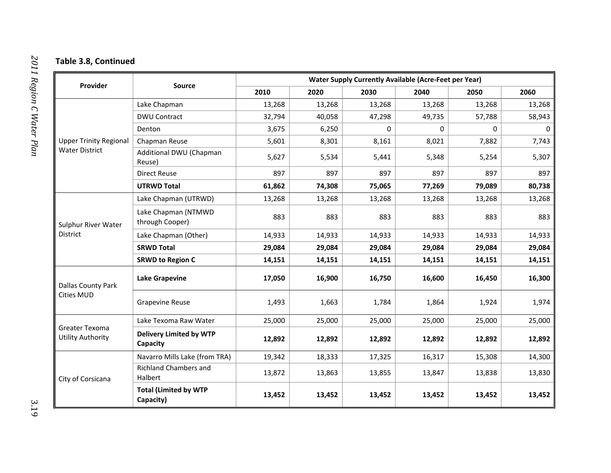### **Table 3.8, Continued**

| Provider                                   | <b>Source</b>                              | <b>Water Supply Currently Available (Acre-Feet per Year)</b> |        |          |          |          |          |  |  |  |
|--------------------------------------------|--------------------------------------------|--------------------------------------------------------------|--------|----------|----------|----------|----------|--|--|--|
|                                            |                                            | 2010                                                         | 2020   | 2030     | 2040     | 2050     | 2060     |  |  |  |
|                                            | Lake Chapman                               | 13,268                                                       | 13,268 | 13,268   | 13,268   | 13,268   | 13,268   |  |  |  |
|                                            | <b>DWU Contract</b>                        | 32,794                                                       | 40,058 | 47,298   | 49,735   | 57,788   | 58,943   |  |  |  |
|                                            | Denton                                     | 3,675                                                        | 6,250  | $\Omega$ | $\Omega$ | $\Omega$ | $\Omega$ |  |  |  |
| <b>Upper Trinity Regional</b>              | Chapman Reuse                              | 5,601                                                        | 8,301  | 8,161    | 8,021    | 7,882    | 7,743    |  |  |  |
| <b>Water District</b>                      | Additional DWU (Chapman<br>Reuse)          | 5,627                                                        | 5,534  | 5,441    | 5,348    | 5,254    | 5,307    |  |  |  |
|                                            | <b>Direct Reuse</b>                        | 897                                                          | 897    | 897      | 897      | 897      | 897      |  |  |  |
|                                            | <b>UTRWD Total</b>                         | 61,862                                                       | 74,308 | 75,065   | 77,269   | 79,089   | 80,738   |  |  |  |
|                                            | Lake Chapman (UTRWD)                       | 13,268                                                       | 13,268 | 13,268   | 13,268   | 13,268   | 13,268   |  |  |  |
| Sulphur River Water<br>District            | Lake Chapman (NTMWD<br>through Cooper)     | 883                                                          | 883    | 883      | 883      | 883      | 883      |  |  |  |
|                                            | Lake Chapman (Other)                       | 14,933                                                       | 14,933 | 14,933   | 14,933   | 14,933   | 14,933   |  |  |  |
|                                            | <b>SRWD Total</b>                          | 29,084                                                       | 29,084 | 29,084   | 29,084   | 29,084   | 29,084   |  |  |  |
|                                            | <b>SRWD to Region C</b>                    | 14,151                                                       | 14,151 | 14,151   | 14,151   | 14,151   | 14,151   |  |  |  |
| Dallas County Park                         | <b>Lake Grapevine</b>                      | 17,050                                                       | 16,900 | 16,750   | 16,600   | 16,450   | 16,300   |  |  |  |
| <b>Cities MUD</b>                          | <b>Grapevine Reuse</b>                     | 1,493                                                        | 1,663  | 1,784    | 1,864    | 1,924    | 1,974    |  |  |  |
|                                            | Lake Texoma Raw Water                      | 25,000                                                       | 25,000 | 25,000   | 25,000   | 25,000   | 25,000   |  |  |  |
| Greater Texoma<br><b>Utility Authority</b> | <b>Delivery Limited by WTP</b><br>Capacity | 12,892                                                       | 12,892 | 12,892   | 12,892   | 12,892   | 12,892   |  |  |  |
|                                            | Navarro Mills Lake (from TRA)              | 19,342                                                       | 18,333 | 17,325   | 16,317   | 15,308   | 14,300   |  |  |  |
| City of Corsicana                          | <b>Richland Chambers and</b><br>Halbert    | 13,872                                                       | 13,863 | 13,855   | 13,847   | 13,838   | 13,830   |  |  |  |
|                                            | <b>Total (Limited by WTP</b><br>Capacity)  | 13,452                                                       | 13,452 | 13,452   | 13,452   | 13,452   | 13,452   |  |  |  |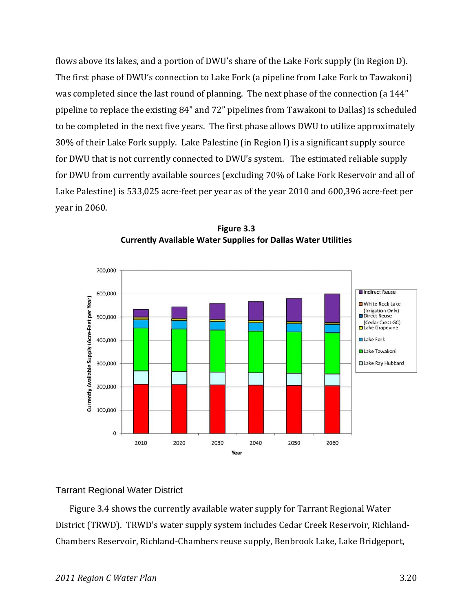flows above its lakes, and a portion of DWU's share of the Lake Fork supply (in Region D). The first phase of DWU's connection to Lake Fork (a pipeline from Lake Fork to Tawakoni) was completed since the last round of planning. The next phase of the connection (a 144" pipeline to replace the existing 84" and 72" pipelines from Tawakoni to Dallas) is scheduled to be completed in the next five years. The first phase allows DWU to utilize approximately 30% of their Lake Fork supply. Lake Palestine (in Region I) is a significant supply source for DWU that is not currently connected to DWU's system. The estimated reliable supply for DWU from currently available sources (excluding 70% of Lake Fork Reservoir and all of Lake Palestine) is 533,025 acre-feet per year as of the year 2010 and 600,396 acre-feet per year in 2060.



**Figure 3.3 Currently Available Water Supplies for Dallas Water Utilities**

## Tarrant Regional Water District

Figure 3.4 shows the currently available water supply for Tarrant Regional Water District (TRWD). TRWD's water supply system includes Cedar Creek Reservoir, Richland‐ Chambers Reservoir, Richland‐Chambers reuse supply, Benbrook Lake, Lake Bridgeport,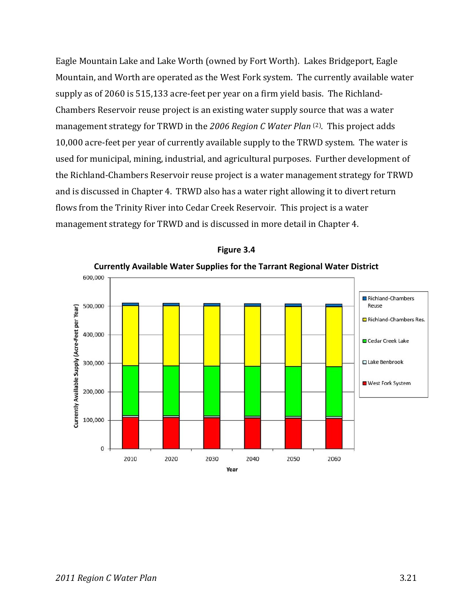Eagle Mountain Lake and Lake Worth (owned by Fort Worth). Lakes Bridgeport, Eagle Mountain, and Worth are operated as the West Fork system. The currently available water supply as of 2060 is 515,133 acre‐feet per year on a firm yield basis. The Richland‐ Chambers Reservoir reuse project is an existing water supply source that was a water management strategy for TRWD in the *2006 Region C Water Plan* (2). This project adds 10,000 acre‐feet per year of currently available supply to the TRWD system. The water is used for municipal, mining, industrial, and agricultural purposes. Further development of the Richland‐Chambers Reservoir reuse project is a water management strategy for TRWD and is discussed in Chapter 4. TRWD also has a water right allowing it to divert return flows from the Trinity River into Cedar Creek Reservoir. This project is a water management strategy for TRWD and is discussed in more detail in Chapter 4.



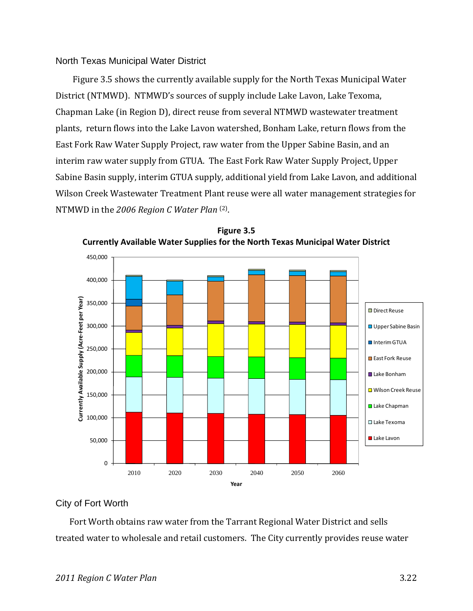#### North Texas Municipal Water District

Figure 3.5 shows the currently available supply for the North Texas Municipal Water District (NTMWD). NTMWD's sources of supply include Lake Lavon, Lake Texoma, Chapman Lake (in Region D), direct reuse from several NTMWD wastewater treatment plants, return flows into the Lake Lavon watershed, Bonham Lake, return flows from the East Fork Raw Water Supply Project, raw water from the Upper Sabine Basin, and an interim raw water supply from GTUA. The East Fork Raw Water Supply Project, Upper Sabine Basin supply, interim GTUA supply, additional yield from Lake Lavon, and additional Wilson Creek Wastewater Treatment Plant reuse were all water management strategies for NTMWD in the *2006 Region C Water Plan* (2).





#### City of Fort Worth

Fort Worth obtains raw water from the Tarrant Regional Water District and sells treated water to wholesale and retail customers. The City currently provides reuse water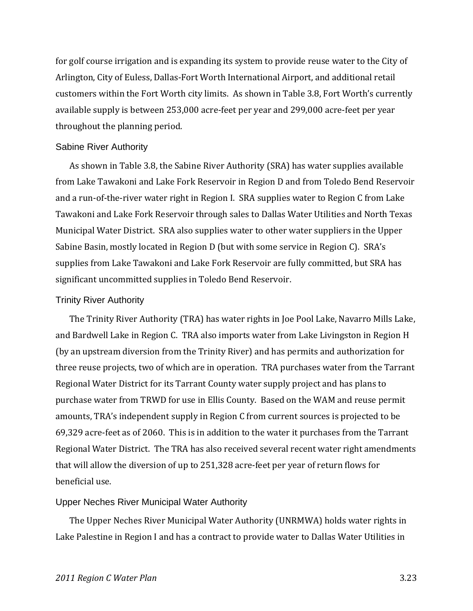for golf course irrigation and is expanding its system to provide reuse water to the City of Arlington, City of Euless, Dallas‐Fort Worth International Airport, and additional retail customers within the Fort Worth city limits. As shown in Table 3.8, Fort Worth's currently available supply is between 253,000 acre‐feet per year and 299,000 acre‐feet per year throughout the planning period.

#### Sabine River Authority

As shown in Table 3.8, the Sabine River Authority (SRA) has water supplies available from Lake Tawakoni and Lake Fork Reservoir in Region D and from Toledo Bend Reservoir and a run‐of‐the‐river water right in Region I. SRA supplies water to Region C from Lake Tawakoni and Lake Fork Reservoir through sales to Dallas Water Utilities and North Texas Municipal Water District. SRA also supplies water to other water suppliers in the Upper Sabine Basin, mostly located in Region D (but with some service in Region C). SRA's supplies from Lake Tawakoni and Lake Fork Reservoir are fully committed, but SRA has significant uncommitted supplies in Toledo Bend Reservoir.

#### Trinity River Authority

The Trinity River Authority (TRA) has water rights in Joe Pool Lake, Navarro Mills Lake, and Bardwell Lake in Region C. TRA also imports water from Lake Livingston in Region H (by an upstream diversion from the Trinity River) and has permits and authorization for three reuse projects, two of which are in operation. TRA purchases water from the Tarrant Regional Water District for its Tarrant County water supply project and has plans to purchase water from TRWD for use in Ellis County. Based on the WAM and reuse permit amounts, TRA's independent supply in Region C from current sources is projected to be 69,329 acre‐feet as of 2060. This is in addition to the water it purchases from the Tarrant Regional Water District. The TRA has also received several recent water right amendments that will allow the diversion of up to 251,328 acre‐feet per year of return flows for beneficial use.

#### Upper Neches River Municipal Water Authority

The Upper Neches River Municipal Water Authority (UNRMWA) holds water rights in Lake Palestine in Region I and has a contract to provide water to Dallas Water Utilities in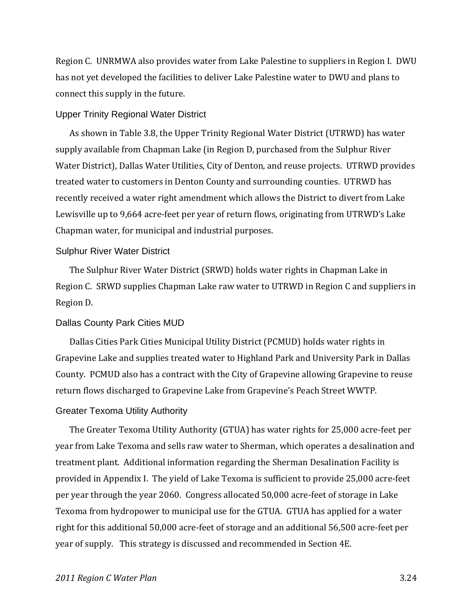Region C. UNRMWA also provides water from Lake Palestine to suppliers in Region I. DWU has not yet developed the facilities to deliver Lake Palestine water to DWU and plans to connect this supply in the future.

#### Upper Trinity Regional Water District

As shown in Table 3.8, the Upper Trinity Regional Water District (UTRWD) has water supply available from Chapman Lake (in Region D, purchased from the Sulphur River Water District), Dallas Water Utilities, City of Denton, and reuse projects. UTRWD provides treated water to customers in Denton County and surrounding counties. UTRWD has recently received a water right amendment which allows the District to divert from Lake Lewisville up to 9,664 acre‐feet per year of return flows, originating from UTRWD's Lake Chapman water, for municipal and industrial purposes.

#### Sulphur River Water District

The Sulphur River Water District (SRWD) holds water rights in Chapman Lake in Region C. SRWD supplies Chapman Lake raw water to UTRWD in Region C and suppliers in Region D.

#### Dallas County Park Cities MUD

Dallas Cities Park Cities Municipal Utility District (PCMUD) holds water rights in Grapevine Lake and supplies treated water to Highland Park and University Park in Dallas County. PCMUD also has a contract with the City of Grapevine allowing Grapevine to reuse return flows discharged to Grapevine Lake from Grapevine's Peach Street WWTP.

#### Greater Texoma Utility Authority

The Greater Texoma Utility Authority (GTUA) has water rights for 25,000 acre‐feet per year from Lake Texoma and sells raw water to Sherman, which operates a desalination and treatment plant. Additional information regarding the Sherman Desalination Facility is provided in Appendix I. The yield of Lake Texoma is sufficient to provide 25,000 acre‐feet per year through the year 2060. Congress allocated 50,000 acre‐feet of storage in Lake Texoma from hydropower to municipal use for the GTUA. GTUA has applied for a water right for this additional 50,000 acre‐feet of storage and an additional 56,500 acre‐feet per year of supply. This strategy is discussed and recommended in Section 4E.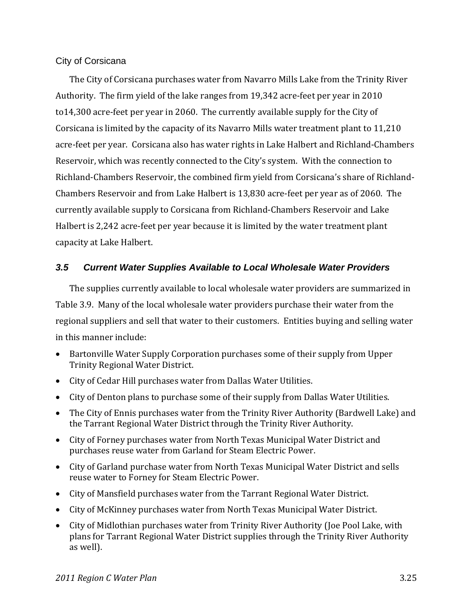## City of Corsicana

The City of Corsicana purchases water from Navarro Mills Lake from the Trinity River Authority. The firm yield of the lake ranges from 19,342 acre‐feet per year in 2010 to14,300 acre‐feet per year in 2060. The currently available supply for the City of Corsicana is limited by the capacity of its Navarro Mills water treatment plant to 11,210 acre‐feet per year. Corsicana also has water rights in Lake Halbert and Richland‐Chambers Reservoir, which was recently connected to the City's system. With the connection to Richland‐Chambers Reservoir, the combined firm yield from Corsicana's share of Richland‐ Chambers Reservoir and from Lake Halbert is 13,830 acre‐feet per year as of 2060. The currently available supply to Corsicana from Richland‐Chambers Reservoir and Lake Halbert is 2,242 acre‐feet per year because it is limited by the water treatment plant capacity at Lake Halbert.

## *3.5 Current Water Supplies Available to Local Wholesale Water Providers*

The supplies currently available to local wholesale water providers are summarized in Table 3.9. Many of the local wholesale water providers purchase their water from the regional suppliers and sell that water to their customers. Entities buying and selling water in this manner include:

- Bartonville Water Supply Corporation purchases some of their supply from Upper Trinity Regional Water District.
- City of Cedar Hill purchases water from Dallas Water Utilities.
- City of Denton plans to purchase some of their supply from Dallas Water Utilities.
- The City of Ennis purchases water from the Trinity River Authority (Bardwell Lake) and the Tarrant Regional Water District through the Trinity River Authority.
- City of Forney purchases water from North Texas Municipal Water District and purchases reuse water from Garland for Steam Electric Power.
- City of Garland purchase water from North Texas Municipal Water District and sells reuse water to Forney for Steam Electric Power.
- City of Mansfield purchases water from the Tarrant Regional Water District.
- City of McKinney purchases water from North Texas Municipal Water District.
- City of Midlothian purchases water from Trinity River Authority (Joe Pool Lake, with plans for Tarrant Regional Water District supplies through the Trinity River Authority as well).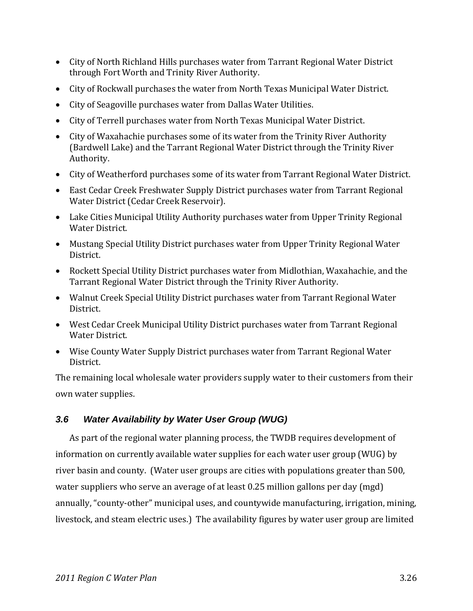- City of North Richland Hills purchases water from Tarrant Regional Water District through Fort Worth and Trinity River Authority.
- City of Rockwall purchases the water from North Texas Municipal Water District.
- City of Seagoville purchases water from Dallas Water Utilities.
- City of Terrell purchases water from North Texas Municipal Water District.
- City of Waxahachie purchases some of its water from the Trinity River Authority (Bardwell Lake) and the Tarrant Regional Water District through the Trinity River Authority.
- City of Weatherford purchases some of its water from Tarrant Regional Water District.
- East Cedar Creek Freshwater Supply District purchases water from Tarrant Regional Water District (Cedar Creek Reservoir).
- Lake Cities Municipal Utility Authority purchases water from Upper Trinity Regional Water District.
- Mustang Special Utility District purchases water from Upper Trinity Regional Water District.
- Rockett Special Utility District purchases water from Midlothian, Waxahachie, and the Tarrant Regional Water District through the Trinity River Authority.
- Walnut Creek Special Utility District purchases water from Tarrant Regional Water District.
- West Cedar Creek Municipal Utility District purchases water from Tarrant Regional Water District.
- Wise County Water Supply District purchases water from Tarrant Regional Water District.

The remaining local wholesale water providers supply water to their customers from their own water supplies.

# *3.6 Water Availability by Water User Group (WUG)*

As part of the regional water planning process, the TWDB requires development of information on currently available water supplies for each water user group (WUG) by river basin and county. (Water user groups are cities with populations greater than 500, water suppliers who serve an average of at least 0.25 million gallons per day (mgd) annually, "county‐other" municipal uses, and countywide manufacturing, irrigation, mining, livestock, and steam electric uses.) The availability figures by water user group are limited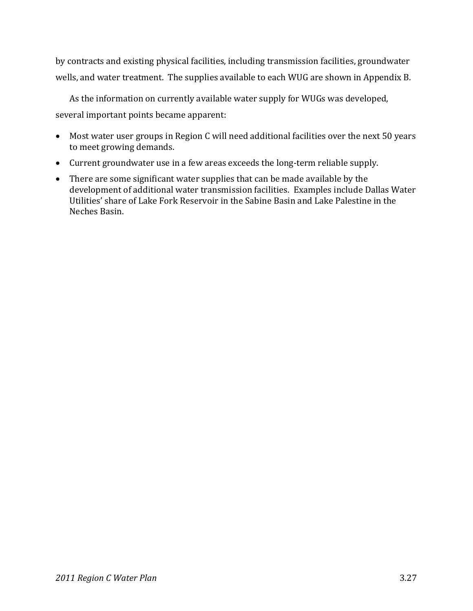by contracts and existing physical facilities, including transmission facilities, groundwater wells, and water treatment. The supplies available to each WUG are shown in Appendix B.

As the information on currently available water supply for WUGs was developed, several important points became apparent:

- Most water user groups in Region C will need additional facilities over the next 50 years to meet growing demands.
- Current groundwater use in a few areas exceeds the long‐term reliable supply.
- There are some significant water supplies that can be made available by the development of additional water transmission facilities. Examples include Dallas Water Utilities' share of Lake Fork Reservoir in the Sabine Basin and Lake Palestine in the Neches Basin.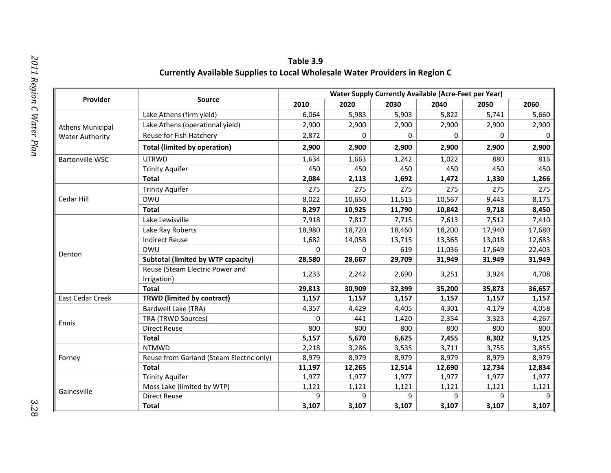|                         |                                                | <b>Water Supply Currently Available (Acre-Feet per Year)</b> |             |        |        |                                                                                                                                                                                                                                  |        |  |  |
|-------------------------|------------------------------------------------|--------------------------------------------------------------|-------------|--------|--------|----------------------------------------------------------------------------------------------------------------------------------------------------------------------------------------------------------------------------------|--------|--|--|
| Provider                | <b>Source</b>                                  | 2010                                                         | 2020        | 2030   | 2040   | 2050                                                                                                                                                                                                                             | 2060   |  |  |
|                         | Lake Athens (firm yield)                       | 6,064                                                        | 5,983       | 5,903  | 5,822  | 5,741                                                                                                                                                                                                                            | 5,660  |  |  |
| <b>Athens Municipal</b> | Lake Athens (operational yield)                | 2,900                                                        | 2,900       | 2,900  | 2,900  | 2,900                                                                                                                                                                                                                            | 2,900  |  |  |
| <b>Water Authority</b>  | Reuse for Fish Hatchery                        | 2,872                                                        | $\mathbf 0$ | 0      | 0      | 0                                                                                                                                                                                                                                | 0      |  |  |
|                         | <b>Total (limited by operation)</b>            | 2,900                                                        | 2,900       | 2,900  | 2,900  | 2,900<br>880<br>450<br>1,330<br>275<br>9,443<br>9,718<br>7,512<br>17,940<br>13,018<br>17,649<br>31,949<br>3,924<br>35,873<br>1,157<br>4,179<br>3,323<br>800<br>8,302<br>3,755<br>8,979<br>12,734<br>1,977<br>1,121<br>9<br>3,107 | 2,900  |  |  |
| <b>Bartonville WSC</b>  | <b>UTRWD</b>                                   | 1,634                                                        | 1,663       | 1,242  | 1,022  |                                                                                                                                                                                                                                  | 816    |  |  |
|                         | <b>Trinity Aquifer</b>                         | 450                                                          | 450         | 450    | 450    | 9                                                                                                                                                                                                                                | 450    |  |  |
|                         | <b>Total</b>                                   | 2,084                                                        | 2,113       | 1,692  | 1,472  |                                                                                                                                                                                                                                  | 1,266  |  |  |
|                         | <b>Trinity Aquifer</b>                         | 275                                                          | 275         | 275    | 275    |                                                                                                                                                                                                                                  | 275    |  |  |
| Cedar Hill              | <b>DWU</b>                                     | 8,022                                                        | 10,650      | 11,515 | 10,567 |                                                                                                                                                                                                                                  | 8,175  |  |  |
|                         | <b>Total</b>                                   | 8,297                                                        | 10,925      | 11,790 | 10,842 |                                                                                                                                                                                                                                  | 8,450  |  |  |
|                         | Lake Lewisville                                | 7,918                                                        | 7,817       | 7,715  | 7,613  |                                                                                                                                                                                                                                  | 7,410  |  |  |
|                         | Lake Ray Roberts                               | 18,980                                                       | 18,720      | 18,460 | 18,200 |                                                                                                                                                                                                                                  | 17,680 |  |  |
|                         | <b>Indirect Reuse</b>                          | 1,682                                                        | 14,058      | 13,715 | 13,365 |                                                                                                                                                                                                                                  | 12,683 |  |  |
| Denton                  | <b>DWU</b>                                     | 0                                                            | $\mathbf 0$ | 619    | 11,036 |                                                                                                                                                                                                                                  | 22,403 |  |  |
|                         | <b>Subtotal (limited by WTP capacity)</b>      | 28,580                                                       | 28,667      | 29,709 | 31,949 |                                                                                                                                                                                                                                  | 31,949 |  |  |
|                         | Reuse (Steam Electric Power and<br>Irrigation) | 1,233                                                        | 2,242       | 2,690  | 3,251  | Currently Available Supplies to Local Wholesale Water Providers in Region C                                                                                                                                                      | 4,708  |  |  |
|                         | <b>Total</b>                                   | 29,813                                                       | 30,909      | 32,399 | 35,200 |                                                                                                                                                                                                                                  | 36,657 |  |  |
| <b>East Cedar Creek</b> | <b>TRWD</b> (limited by contract)              | 1,157                                                        | 1,157       | 1,157  | 1,157  |                                                                                                                                                                                                                                  | 1,157  |  |  |
|                         | Bardwell Lake (TRA)                            | 4,357                                                        | 4,429       | 4,405  | 4,301  |                                                                                                                                                                                                                                  | 4,058  |  |  |
| Ennis                   | <b>TRA (TRWD Sources)</b>                      | 0                                                            | 441         | 1,420  | 2,354  |                                                                                                                                                                                                                                  | 4,267  |  |  |
|                         | <b>Direct Reuse</b>                            | 800                                                          | 800         | 800    | 800    |                                                                                                                                                                                                                                  | 800    |  |  |
|                         | <b>Total</b>                                   | 5,157                                                        | 5,670       | 6,625  | 7,455  |                                                                                                                                                                                                                                  | 9,125  |  |  |
|                         | <b>NTMWD</b>                                   | 2,218                                                        | 3,286       | 3,535  | 3,711  |                                                                                                                                                                                                                                  | 3,855  |  |  |
| Forney                  | Reuse from Garland (Steam Electric only)       | 8,979                                                        | 8,979       | 8,979  | 8,979  |                                                                                                                                                                                                                                  | 8,979  |  |  |
|                         | <b>Total</b>                                   | 11,197                                                       | 12,265      | 12,514 | 12,690 |                                                                                                                                                                                                                                  | 12,834 |  |  |
|                         | <b>Trinity Aquifer</b>                         | 1,977                                                        | 1,977       | 1,977  | 1,977  |                                                                                                                                                                                                                                  | 1,977  |  |  |
| Gainesville             | Moss Lake (limited by WTP)                     | 1,121                                                        | 1,121       | 1,121  | 1,121  |                                                                                                                                                                                                                                  | 1,121  |  |  |
|                         | <b>Direct Reuse</b>                            | 9                                                            | 9           | 9      |        |                                                                                                                                                                                                                                  | 9      |  |  |
|                         | <b>Total</b>                                   | 3,107                                                        | 3,107       | 3,107  | 3,107  |                                                                                                                                                                                                                                  | 3,107  |  |  |

**C**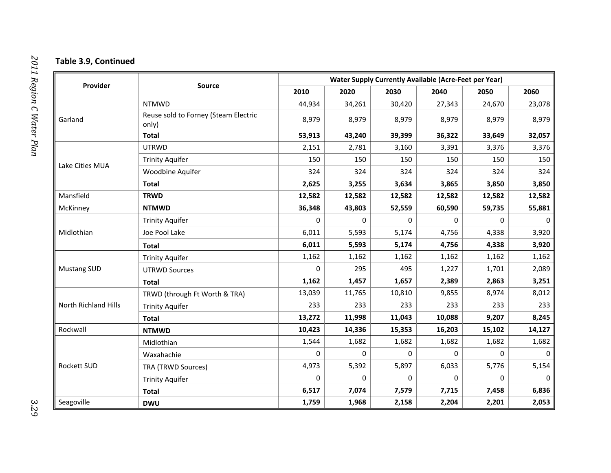#### **Table 3.9, Continued**

|                      | Source                                        |             | <b>Water Supply Currently Available (Acre-Feet per Year)</b> |             |        |                                                                                                                                                                                                    |          |  |  |
|----------------------|-----------------------------------------------|-------------|--------------------------------------------------------------|-------------|--------|----------------------------------------------------------------------------------------------------------------------------------------------------------------------------------------------------|----------|--|--|
| Provider             |                                               | 2010        | 2020                                                         | 2030        | 2040   | 2050                                                                                                                                                                                               | 2060     |  |  |
|                      | <b>NTMWD</b>                                  | 44,934      | 34,261                                                       | 30,420      | 27,343 | 24,670                                                                                                                                                                                             | 23,078   |  |  |
| Garland              | Reuse sold to Forney (Steam Electric<br>only) | 8,979       | 8,979                                                        | 8,979       | 8,979  | 8,979                                                                                                                                                                                              | 8,979    |  |  |
|                      | <b>Total</b>                                  | 53,913      | 43,240                                                       | 39,399      | 36,322 | 33,649<br>3,376<br>150<br>324<br>3,850<br>12,582<br>59,735<br>$\Omega$<br>4,338<br>4,338<br>1,162<br>1,701<br>2,863<br>8,974<br>233<br>9,207<br>15,102<br>1,682<br>$\Omega$<br>5,776<br>0<br>7,458 | 32,057   |  |  |
|                      | <b>UTRWD</b>                                  | 2,151       | 2,781                                                        | 3,160       | 3,391  |                                                                                                                                                                                                    | 3,376    |  |  |
|                      | <b>Trinity Aquifer</b>                        | 150         | 150                                                          | 150         | 150    |                                                                                                                                                                                                    | 150      |  |  |
| Lake Cities MUA      | Woodbine Aquifer                              | 324         | 324                                                          | 324         | 324    |                                                                                                                                                                                                    | 324      |  |  |
|                      | <b>Total</b>                                  | 2,625       | 3,255                                                        | 3,634       | 3,865  |                                                                                                                                                                                                    | 3,850    |  |  |
| Mansfield            | <b>TRWD</b>                                   | 12,582      | 12,582                                                       | 12,582      | 12,582 |                                                                                                                                                                                                    | 12,582   |  |  |
| McKinney             | <b>NTMWD</b>                                  | 36,348      | 43,803                                                       | 52,559      | 60,590 |                                                                                                                                                                                                    | 55,881   |  |  |
|                      | <b>Trinity Aquifer</b>                        | $\mathbf 0$ | $\mathbf 0$                                                  | 0           | 0      |                                                                                                                                                                                                    | $\Omega$ |  |  |
| Midlothian           | Joe Pool Lake                                 | 6,011       | 5,593                                                        | 5,174       | 4,756  |                                                                                                                                                                                                    | 3,920    |  |  |
|                      | <b>Total</b>                                  | 6,011       | 5,593                                                        | 5,174       | 4,756  |                                                                                                                                                                                                    | 3,920    |  |  |
|                      | <b>Trinity Aquifer</b>                        | 1,162       | 1,162                                                        | 1,162       | 1,162  |                                                                                                                                                                                                    | 1,162    |  |  |
| <b>Mustang SUD</b>   | <b>UTRWD Sources</b>                          | $\Omega$    | 295                                                          | 495         | 1,227  |                                                                                                                                                                                                    | 2,089    |  |  |
|                      | <b>Total</b>                                  | 1,162       | 1,457                                                        | 1,657       | 2,389  | 2,201                                                                                                                                                                                              | 3,251    |  |  |
|                      | TRWD (through Ft Worth & TRA)                 | 13,039      | 11,765                                                       | 10,810      | 9,855  |                                                                                                                                                                                                    | 8,012    |  |  |
| North Richland Hills | <b>Trinity Aquifer</b>                        | 233         | 233                                                          | 233         | 233    |                                                                                                                                                                                                    | 233      |  |  |
|                      | <b>Total</b>                                  | 13,272      | 11,998                                                       | 11,043      | 10,088 |                                                                                                                                                                                                    | 8,245    |  |  |
| Rockwall             | <b>NTMWD</b>                                  | 10,423      | 14,336                                                       | 15,353      | 16,203 |                                                                                                                                                                                                    | 14,127   |  |  |
|                      | Midlothian                                    | 1,544       | 1,682                                                        | 1,682       | 1,682  |                                                                                                                                                                                                    | 1,682    |  |  |
|                      | Waxahachie                                    | $\Omega$    | 0                                                            | $\mathbf 0$ | 0      |                                                                                                                                                                                                    | $\Omega$ |  |  |
| <b>Rockett SUD</b>   | <b>TRA (TRWD Sources)</b>                     | 4,973       | 5,392                                                        | 5,897       | 6,033  |                                                                                                                                                                                                    | 5,154    |  |  |
|                      | <b>Trinity Aquifer</b>                        | $\Omega$    | 0                                                            | 0           | 0      |                                                                                                                                                                                                    | $\Omega$ |  |  |
|                      | <b>Total</b>                                  | 6,517       | 7,074                                                        | 7,579       | 7,715  |                                                                                                                                                                                                    | 6,836    |  |  |
| Seagoville           | <b>DWU</b>                                    | 1,759       | 1,968                                                        | 2,158       | 2,204  |                                                                                                                                                                                                    | 2,053    |  |  |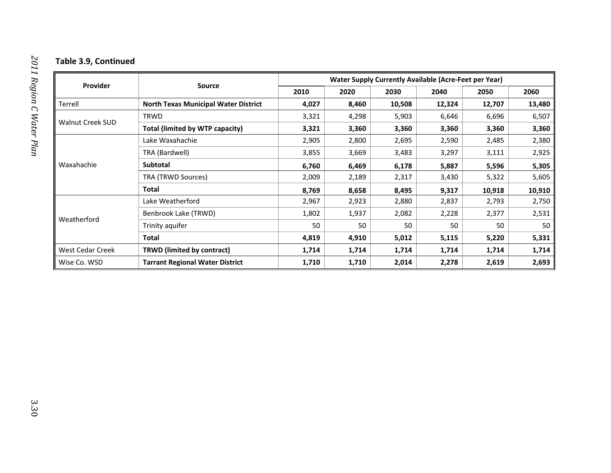#### **Table 3.9, Continued**

| <b>Provider</b>         | <b>Source</b>                               | <b>Water Supply Currently Available (Acre-Feet per Year)</b> |       |        |        |        |        |  |
|-------------------------|---------------------------------------------|--------------------------------------------------------------|-------|--------|--------|--------|--------|--|
|                         |                                             | 2010                                                         | 2020  | 2030   | 2040   | 2050   | 2060   |  |
| Terrell                 | <b>North Texas Municipal Water District</b> | 4,027                                                        | 8,460 | 10,508 | 12,324 | 12,707 | 13,480 |  |
|                         | TRWD                                        | 3,321                                                        | 4,298 | 5,903  | 6,646  | 6,696  | 6,507  |  |
| <b>Walnut Creek SUD</b> | Total (limited by WTP capacity)             | 3,321                                                        | 3,360 | 3,360  | 3,360  | 3,360  | 3,360  |  |
|                         | Lake Waxahachie                             | 2,905                                                        | 2,800 | 2,695  | 2,590  | 2,485  | 2,380  |  |
| Waxahachie              | TRA (Bardwell)                              | 3,855                                                        | 3,669 | 3,483  | 3,297  | 3,111  | 2,925  |  |
|                         | <b>Subtotal</b>                             | 6,760                                                        | 6,469 | 6,178  | 5,887  | 5,596  | 5,305  |  |
|                         | TRA (TRWD Sources)                          | 2,009                                                        | 2,189 | 2,317  | 3,430  | 5,322  | 5,605  |  |
|                         | Total                                       | 8,769                                                        | 8,658 | 8,495  | 9,317  | 10,918 | 10,910 |  |
|                         | Lake Weatherford                            | 2,967                                                        | 2,923 | 2,880  | 2,837  | 2,793  | 2,750  |  |
|                         | Benbrook Lake (TRWD)                        | 1,802                                                        | 1,937 | 2,082  | 2,228  | 2,377  | 2,531  |  |
| Weatherford             | Trinity aquifer                             | 50                                                           | 50    | 50     | 50     | 50     | 50     |  |
|                         | Total                                       | 4,819                                                        | 4,910 | 5,012  | 5,115  | 5,220  | 5,331  |  |
| West Cedar Creek        | <b>TRWD (limited by contract)</b>           | 1,714                                                        | 1,714 | 1,714  | 1,714  | 1,714  | 1,714  |  |
| Wise Co. WSD            | <b>Tarrant Regional Water District</b>      | 1,710                                                        | 1,710 | 2,014  | 2,278  | 2,619  | 2,693  |  |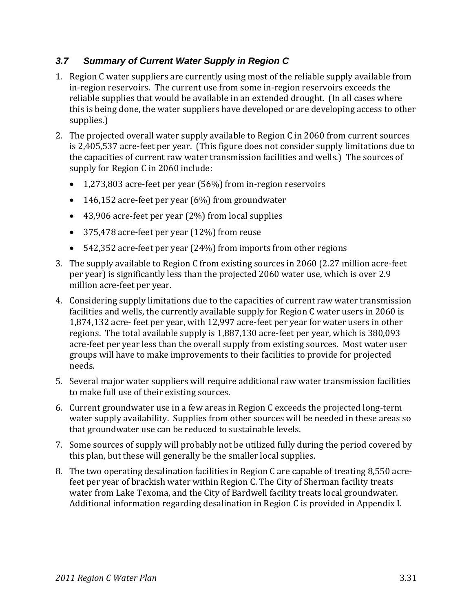# *3.7 Summary of Current Water Supply in Region C*

- 1. Region C water suppliers are currently using most of the reliable supply available from in‐region reservoirs. The current use from some in‐region reservoirs exceeds the reliable supplies that would be available in an extended drought. (In all cases where this is being done, the water suppliers have developed or are developing access to other supplies.)
- 2. The projected overall water supply available to Region C in 2060 from current sources is 2,405,537 acre‐feet per year. (This figure does not consider supply limitations due to the capacities of current raw water transmission facilities and wells.) The sources of supply for Region C in 2060 include:
	- 1,273,803 acre‐feet per year (56%) from in‐region reservoirs
	- 146,152 acre-feet per year  $(6%)$  from groundwater
	- 43,906 acre-feet per year (2%) from local supplies
	- 375,478 acre‐feet per year (12%) from reuse
	- 542,352 acre‐feet per year (24%) from imports from other regions
- 3. The supply available to Region C from existing sources in 2060 (2.27 million acre‐feet per year) is significantly less than the projected 2060 water use, which is over 2.9 million acre‐feet per year.
- 4. Considering supply limitations due to the capacities of current raw water transmission facilities and wells, the currently available supply for Region C water users in 2060 is 1,874,132 acre‐ feet per year, with 12,997 acre‐feet per year for water users in other regions. The total available supply is 1,887,130 acre‐feet per year, which is 380,093 acre-feet per year less than the overall supply from existing sources. Most water user groups will have to make improvements to their facilities to provide for projected needs.
- 5. Several major water suppliers will require additional raw water transmission facilities to make full use of their existing sources.
- 6. Current groundwater use in a few areas in Region C exceeds the projected long‐term water supply availability. Supplies from other sources will be needed in these areas so that groundwater use can be reduced to sustainable levels.
- 7. Some sources of supply will probably not be utilized fully during the period covered by this plan, but these will generally be the smaller local supplies.
- 8. The two operating desalination facilities in Region C are capable of treating 8,550 acrefeet per year of brackish water within Region C. The City of Sherman facility treats water from Lake Texoma, and the City of Bardwell facility treats local groundwater. Additional information regarding desalination in Region C is provided in Appendix I.